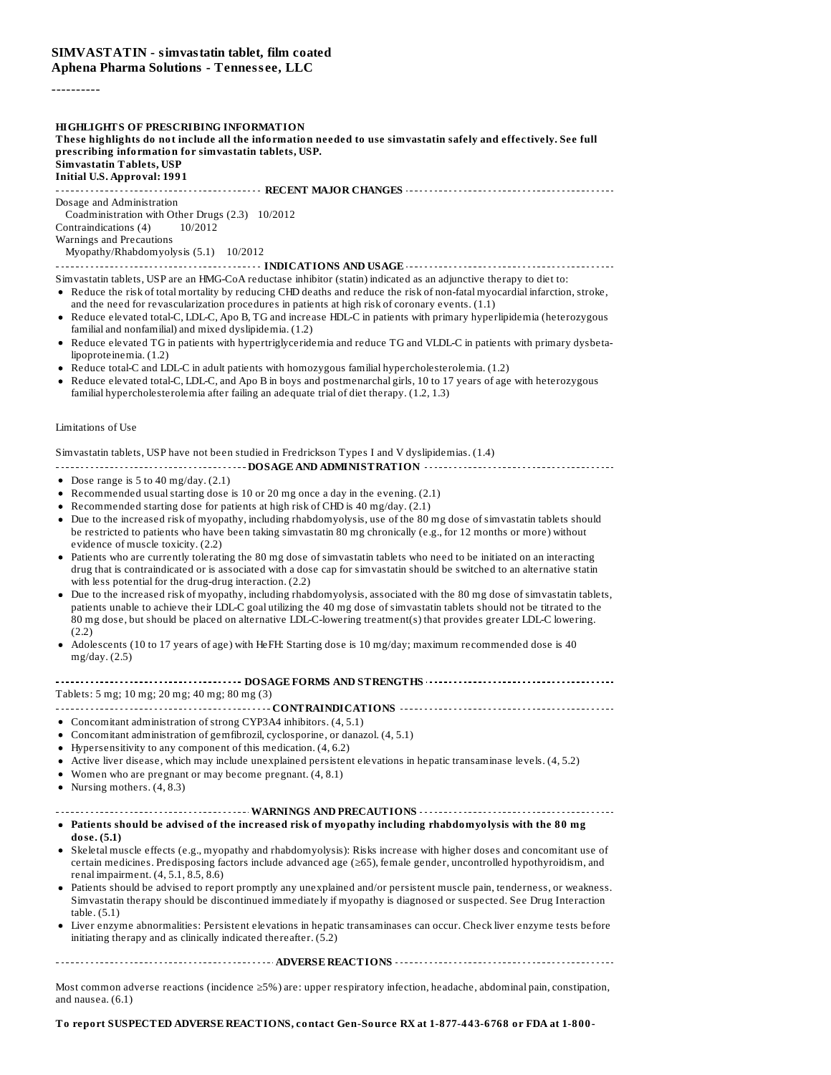#### ----------

**HIGHLIGHTS OF PRESCRIBING INFORMATION** These highlights do not include all the information needed to use simvastatin safely and effectively. See full **prescribing information for simvastatin tablets, USP. Simvastatin Tablets, USP Initial U.S. Approval: 1991 RECENT MAJOR CHANGES** Dosage and Administration Coadministration with Other Drugs (2.3) 10/2012

Contraindications (4) 10/2012 Warnings and Precautions

Myopathy/Rhabdomyolysis (5.1) 10/2012

#### **INDICATIONS AND USAGE CONSUMERNMENTAL CONSUMING THE CONSUMING SERVICE OF AND USAGE**

Simvastatin tablets, USP are an HMG-CoA reductase inhibitor (statin) indicated as an adjunctive therapy to diet to:

- Reduce the risk of total mortality by reducing CHD deaths and reduce the risk of non-fatal myocardial infarction, stroke, and the need for revascularization procedures in patients at high risk of coronary events. (1.1)
- Reduce elevated total-C, LDL-C, Apo B, TG and increase HDL-C in patients with primary hyperlipidemia (heterozygous familial and nonfamilial) and mixed dyslipidemia. (1.2)
- Reduce elevated TG in patients with hypertriglyceridemia and reduce TG and VLDL-C in patients with primary dysbetalipoproteinemia. (1.2)
- Reduce total-C and LDL-C in adult patients with homozygous familial hypercholesterolemia. (1.2)
- Reduce elevated total-C, LDL-C, and Apo B in boys and postmenarchal girls, 10 to 17 years of age with heterozygous familial hypercholesterolemia after failing an adequate trial of diet therapy. (1.2, 1.3)

#### Limitations of Use

#### Simvastatin tablets, USP have not been studied in Fredrickson Types I and V dyslipidemias. (1.4)

**DOSAGE AND ADMINISTRATION**

- Dose range is  $5$  to  $40$  mg/day.  $(2.1)$
- Recommended usualstarting dose is 10 or 20 mg once a day in the evening. (2.1)
- Recommended starting dose for patients at high risk of CHD is 40 mg/day. (2.1)
- Due to the increased risk of myopathy, including rhabdomyolysis, use of the 80 mg dose of simvastatin tablets should be restricted to patients who have been taking simvastatin 80 mg chronically (e.g., for 12 months or more) without evidence of muscle toxicity. (2.2)
- Patients who are currently tolerating the 80 mg dose of simvastatin tablets who need to be initiated on an interacting drug that is contraindicated or is associated with a dose cap for simvastatin should be switched to an alternative statin with less potential for the drug-drug interaction. (2.2)
- Due to the increased risk of myopathy, including rhabdomyolysis, associated with the 80 mg dose of simvastatin tablets, patients unable to achieve their LDL-C goal utilizing the 40 mg dose of simvastatin tablets should not be titrated to the 80 mg dose, but should be placed on alternative LDL-C-lowering treatment(s) that provides greater LDL-C lowering. (2.2)
- Adolescents (10 to 17 years of age) with HeFH: Starting dose is 10 mg/day; maximum recommended dose is 40 mg/day. (2.5)

#### **DOSAGE FORMS AND STRENGTHS**

Tablets: 5 mg; 10 mg; 20 mg; 40 mg; 80 mg (3)

**CONTRAINDICATIONS**

- Concomitant administration of strong CYP3A4 inhibitors. (4, 5.1)
- Concomitant administration of gemfibrozil, cyclosporine, or danazol. (4, 5.1)
- Hypersensitivity to any component of this medication. (4, 6.2)
- Active liver disease, which may include unexplained persistent elevations in hepatic transaminase levels. (4, 5.2)
- Women who are pregnant or may become pregnant. (4, 8.1)
- Nursing mothers. (4, 8.3)

#### **WARNINGS AND PRECAUTIONS**

- **Patients should be advised of the increased risk of myopathy including rhabdomyolysis with the 80 mg dose. (5.1)**
- Skeletal muscle effects (e.g., myopathy and rhabdomyolysis): Risks increase with higher doses and concomitant use of certain medicines. Predisposing factors include advanced age (≥65), female gender, uncontrolled hypothyroidism, and renal impairment. (4, 5.1, 8.5, 8.6)
- Patients should be advised to report promptly any unexplained and/or persistent muscle pain, tenderness, or weakness. Simvastatin therapy should be discontinued immediately if myopathy is diagnosed or suspected. See Drug Interaction table. (5.1)
- Liver enzyme abnormalities: Persistent elevations in hepatic transaminases can occur. Check liver enzyme tests before initiating therapy and as clinically indicated thereafter. (5.2)

**ADVERSE REACTIONS**

Most common adverse reactions (incidence ≥5%) are: upper respiratory infection, headache, abdominal pain, constipation, and nausea. (6.1)

#### **To report SUSPECTED ADVERSE REACTIONS, contact Gen-Source RX at 1-877-443-6768 or FDA at 1-800-**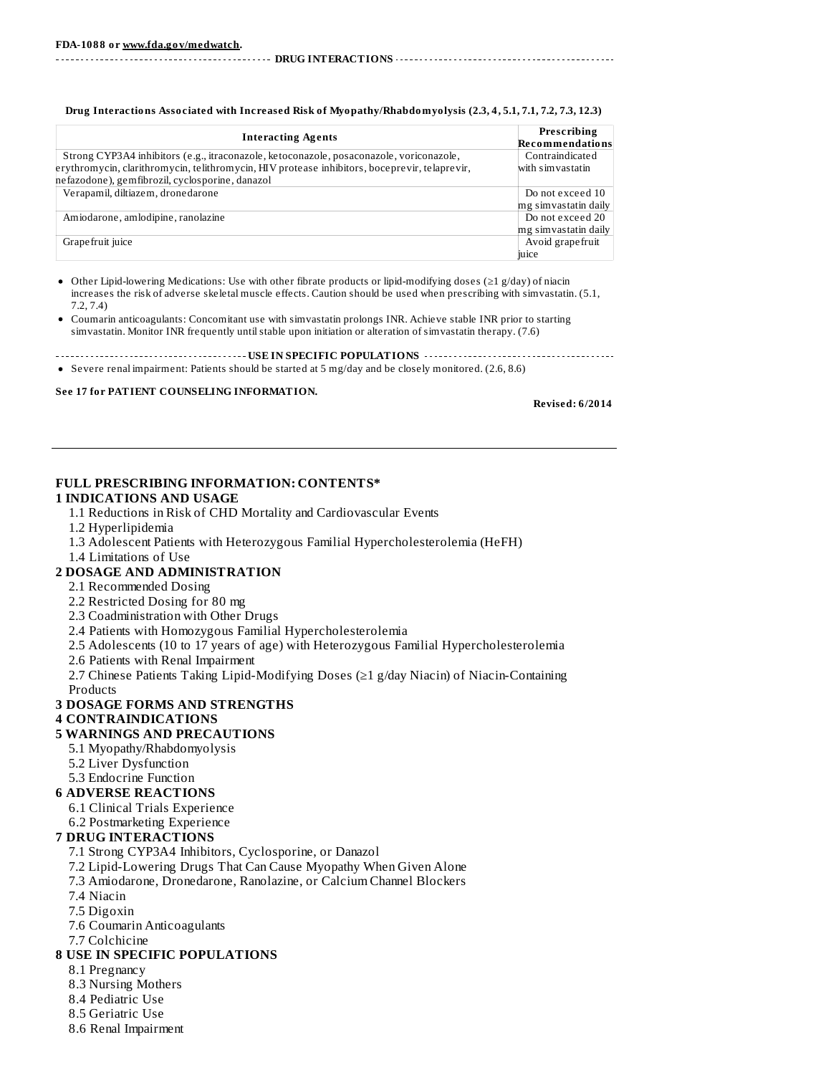**DRUG INTERACTIONS**

| <b>Interacting Agents</b>                                                                     | Prescribing<br>Recommendations |
|-----------------------------------------------------------------------------------------------|--------------------------------|
| Strong CYP3A4 inhibitors (e.g., itraconazole, ketoconazole, posaconazole, voriconazole,       | Contraindicated                |
| erythromycin, clarithromycin, telithromycin, HIV protease inhibitors, boceprevir, telaprevir, | with simvastatin               |
| nefazodone), gemfibrozil, cyclosporine, danazol                                               |                                |
| Verapamil, diltiazem, dronedarone                                                             | Do not exceed 10               |
|                                                                                               | mg simvastatin daily           |
| Amiodarone, amlodipine, ranolazine                                                            | Do not exceed 20               |
|                                                                                               | mg simvastatin daily           |
| Grape fruit juice                                                                             | Avoid grape fruit              |
|                                                                                               | juice                          |

**Drug Interactions Associated with Increased Risk of Myopathy/Rhabdomyolysis (2.3, 4, 5.1, 7.1, 7.2, 7.3, 12.3)**

Other Lipid-lowering Medications: Use with other fibrate products or lipid-modifying doses (≥1 g/day) of niacin increases the risk of adverse skeletal muscle effects. Caution should be used when prescribing with simvastatin. (5.1, 7.2, 7.4)

- Coumarin anticoagulants: Concomitant use with simvastatin prolongs INR. Achieve stable INR prior to starting simvastatin. Monitor INR frequently untilstable upon initiation or alteration of simvastatin therapy. (7.6)
- **USEARCH CONSUMER TO POPULATIONS** *CONSUMERATIONS CONSUMERATIONS CONSUMERATIONS*
- Severe renal impairment: Patients should be started at 5 mg/day and be closely monitored. (2.6, 8.6)

#### **See 17 for PATIENT COUNSELING INFORMATION.**

**Revised: 6/2014**

#### **FULL PRESCRIBING INFORMATION: CONTENTS\***

#### **1 INDICATIONS AND USAGE**

- 1.1 Reductions in Risk of CHD Mortality and Cardiovascular Events
- 1.2 Hyperlipidemia
- 1.3 Adolescent Patients with Heterozygous Familial Hypercholesterolemia (HeFH)
- 1.4 Limitations of Use

#### **2 DOSAGE AND ADMINISTRATION**

- 2.1 Recommended Dosing
- 2.2 Restricted Dosing for 80 mg
- 2.3 Coadministration with Other Drugs
- 2.4 Patients with Homozygous Familial Hypercholesterolemia
- 2.5 Adolescents (10 to 17 years of age) with Heterozygous Familial Hypercholesterolemia
- 2.6 Patients with Renal Impairment

2.7 Chinese Patients Taking Lipid-Modifying Doses (≥1 g/day Niacin) of Niacin-Containing

Products

#### **3 DOSAGE FORMS AND STRENGTHS**

#### **4 CONTRAINDICATIONS**

#### **5 WARNINGS AND PRECAUTIONS**

- 5.1 Myopathy/Rhabdomyolysis
- 5.2 Liver Dysfunction
- 5.3 Endocrine Function

#### **6 ADVERSE REACTIONS**

- 6.1 Clinical Trials Experience
- 6.2 Postmarketing Experience

#### **7 DRUG INTERACTIONS**

- 7.1 Strong CYP3A4 Inhibitors, Cyclosporine, or Danazol
- 7.2 Lipid-Lowering Drugs That Can Cause Myopathy When Given Alone
- 7.3 Amiodarone, Dronedarone, Ranolazine, or Calcium Channel Blockers
- 7.4 Niacin
- 7.5 Digoxin
- 7.6 Coumarin Anticoagulants
- 7.7 Colchicine

### **8 USE IN SPECIFIC POPULATIONS**

- 8.1 Pregnancy
- 8.3 Nursing Mothers
- 8.4 Pediatric Use
- 8.5 Geriatric Use
- 8.6 Renal Impairment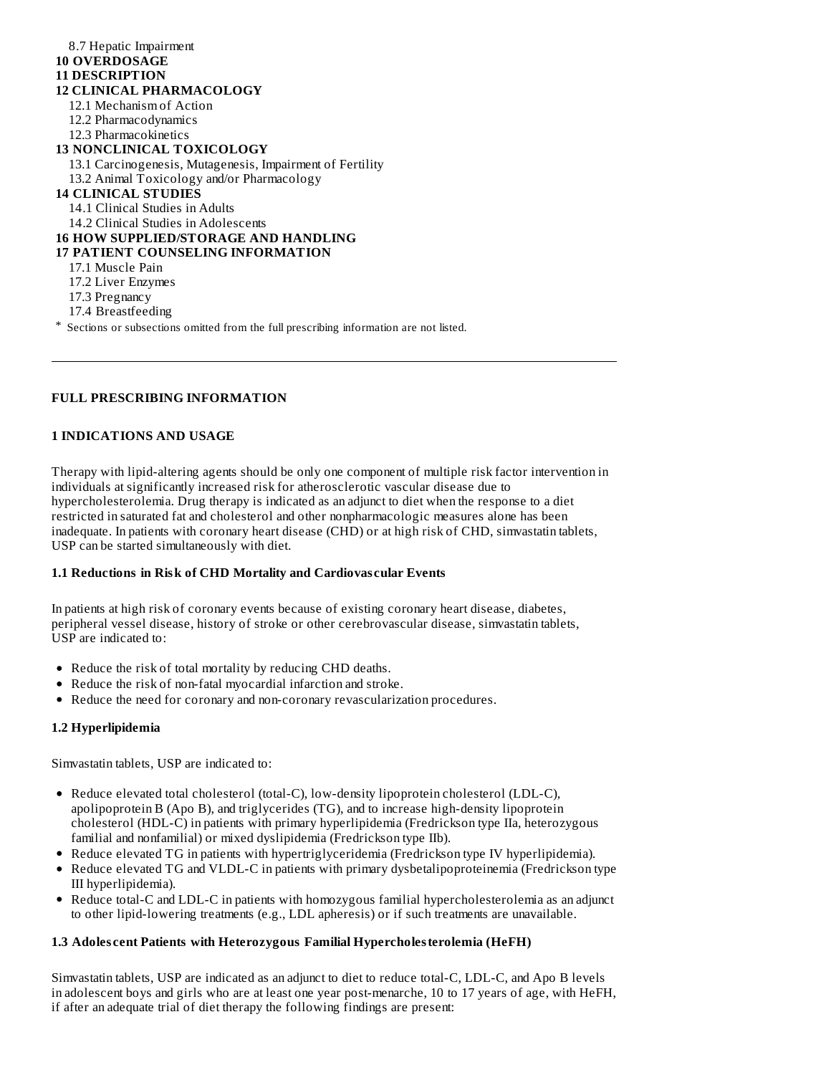| 8.7 Hepatic Impairment<br><b>10 OVERDOSAGE</b>                                          |
|-----------------------------------------------------------------------------------------|
| <b>11 DESCRIPTION</b>                                                                   |
| <b>12 CLINICAL PHARMACOLOGY</b>                                                         |
|                                                                                         |
| 12.1 Mechanism of Action                                                                |
| 12.2 Pharmacodynamics                                                                   |
| 12.3 Pharmacokinetics                                                                   |
| <b>13 NONCLINICAL TOXICOLOGY</b>                                                        |
| 13.1 Carcinogenesis, Mutagenesis, Impairment of Fertility                               |
| 13.2 Animal Toxicology and/or Pharmacology                                              |
| <b>14 CLINICAL STUDIES</b>                                                              |
| 14.1 Clinical Studies in Adults                                                         |
| 14.2 Clinical Studies in Adolescents                                                    |
| <b>16 HOW SUPPLIED/STORAGE AND HANDLING</b>                                             |
| <b>17 PATIENT COUNSELING INFORMATION</b>                                                |
| 17.1 Muscle Pain                                                                        |
| 17.2 Liver Enzymes                                                                      |
| 17.3 Pregnancy                                                                          |
| 17.4 Breastfeeding                                                                      |
| * Sections or subsections omitted from the full prescribing information are not listed. |

# **FULL PRESCRIBING INFORMATION**

#### **1 INDICATIONS AND USAGE**

Therapy with lipid-altering agents should be only one component of multiple risk factor intervention in individuals at significantly increased risk for atherosclerotic vascular disease due to hypercholesterolemia. Drug therapy is indicated as an adjunct to diet when the response to a diet restricted in saturated fat and cholesterol and other nonpharmacologic measures alone has been inadequate. In patients with coronary heart disease (CHD) or at high risk of CHD, simvastatin tablets, USP can be started simultaneously with diet.

## **1.1 Reductions in Risk of CHD Mortality and Cardiovas cular Events**

In patients at high risk of coronary events because of existing coronary heart disease, diabetes, peripheral vessel disease, history of stroke or other cerebrovascular disease, simvastatin tablets, USP are indicated to:

- Reduce the risk of total mortality by reducing CHD deaths.
- Reduce the risk of non-fatal myocardial infarction and stroke.
- Reduce the need for coronary and non-coronary revascularization procedures.

#### **1.2 Hyperlipidemia**

Simvastatin tablets, USP are indicated to:

- Reduce elevated total cholesterol (total-C), low-density lipoprotein cholesterol (LDL-C), apolipoprotein B (Apo B), and triglycerides (TG), and to increase high-density lipoprotein cholesterol (HDL-C) in patients with primary hyperlipidemia (Fredrickson type IIa, heterozygous familial and nonfamilial) or mixed dyslipidemia (Fredrickson type IIb).
- Reduce elevated TG in patients with hypertriglyceridemia (Fredrickson type IV hyperlipidemia).
- Reduce elevated TG and VLDL-C in patients with primary dysbetalipoproteinemia (Fredrickson type III hyperlipidemia).
- Reduce total-C and LDL-C in patients with homozygous familial hypercholesterolemia as an adjunct to other lipid-lowering treatments (e.g., LDL apheresis) or if such treatments are unavailable.

#### **1.3 Adoles cent Patients with Heterozygous Familial Hypercholesterolemia (HeFH)**

Simvastatin tablets, USP are indicated as an adjunct to diet to reduce total-C, LDL-C, and Apo B levels in adolescent boys and girls who are at least one year post-menarche, 10 to 17 years of age, with HeFH, if after an adequate trial of diet therapy the following findings are present: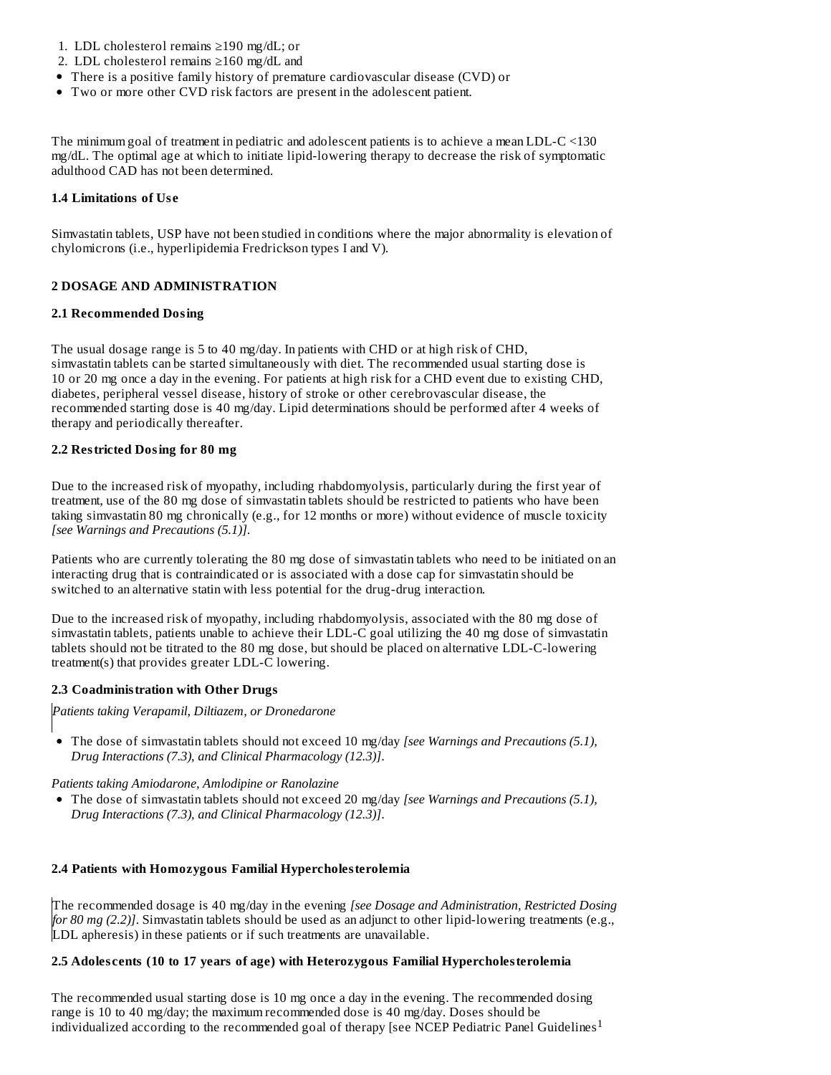- 1. LDL cholesterol remains ≥190 mg/dL; or
- 2. LDL cholesterol remains ≥160 mg/dL and
- There is a positive family history of premature cardiovascular disease (CVD) or
- Two or more other CVD risk factors are present in the adolescent patient.

The minimum goal of treatment in pediatric and adolescent patients is to achieve a mean LDL-C <130 mg/dL. The optimal age at which to initiate lipid-lowering therapy to decrease the risk of symptomatic adulthood CAD has not been determined.

#### **1.4 Limitations of Us e**

Simvastatin tablets, USP have not been studied in conditions where the major abnormality is elevation of chylomicrons (i.e., hyperlipidemia Fredrickson types I and V).

#### **2 DOSAGE AND ADMINISTRATION**

#### **2.1 Recommended Dosing**

The usual dosage range is 5 to 40 mg/day. In patients with CHD or at high risk of CHD, simvastatin tablets can be started simultaneously with diet. The recommended usual starting dose is 10 or 20 mg once a day in the evening. For patients at high risk for a CHD event due to existing CHD, diabetes, peripheral vessel disease, history of stroke or other cerebrovascular disease, the recommended starting dose is 40 mg/day. Lipid determinations should be performed after 4 weeks of therapy and periodically thereafter.

#### **2.2 Restricted Dosing for 80 mg**

Due to the increased risk of myopathy, including rhabdomyolysis, particularly during the first year of treatment, use of the 80 mg dose of simvastatin tablets should be restricted to patients who have been taking simvastatin 80 mg chronically (e.g., for 12 months or more) without evidence of muscle toxicity *[see Warnings and Precautions (5.1)]*.

Patients who are currently tolerating the 80 mg dose of simvastatin tablets who need to be initiated on an interacting drug that is contraindicated or is associated with a dose cap for simvastatin should be switched to an alternative statin with less potential for the drug-drug interaction.

Due to the increased risk of myopathy, including rhabdomyolysis, associated with the 80 mg dose of simvastatin tablets, patients unable to achieve their LDL-C goal utilizing the 40 mg dose of simvastatin tablets should not be titrated to the 80 mg dose, but should be placed on alternative LDL-C-lowering treatment(s) that provides greater LDL-C lowering.

#### **2.3 Coadministration with Other Drugs**

*Patients taking Verapamil, Diltiazem, or Dronedarone*

The dose of simvastatin tablets should not exceed 10 mg/day *[see Warnings and Precautions (5.1), Drug Interactions (7.3), and Clinical Pharmacology (12.3)]*.

*Patients taking Amiodarone, Amlodipine or Ranolazine*

The dose of simvastatin tablets should not exceed 20 mg/day *[see Warnings and Precautions (5.1), Drug Interactions (7.3), and Clinical Pharmacology (12.3)]*.

#### **2.4 Patients with Homozygous Familial Hypercholesterolemia**

The recommended dosage is 40 mg/day in the evening *[see Dosage and Administration, Restricted Dosing for 80 mg (2.2)]*. Simvastatin tablets should be used as an adjunct to other lipid-lowering treatments (e.g., LDL apheresis) in these patients or if such treatments are unavailable.

#### **2.5 Adoles cents (10 to 17 years of age) with Heterozygous Familial Hypercholesterolemia**

The recommended usual starting dose is 10 mg once a day in the evening. The recommended dosing range is 10 to 40 mg/day; the maximum recommended dose is 40 mg/day. Doses should be individualized according to the recommended goal of therapy [see NCEP Pediatric Panel Guidelines<sup>1</sup>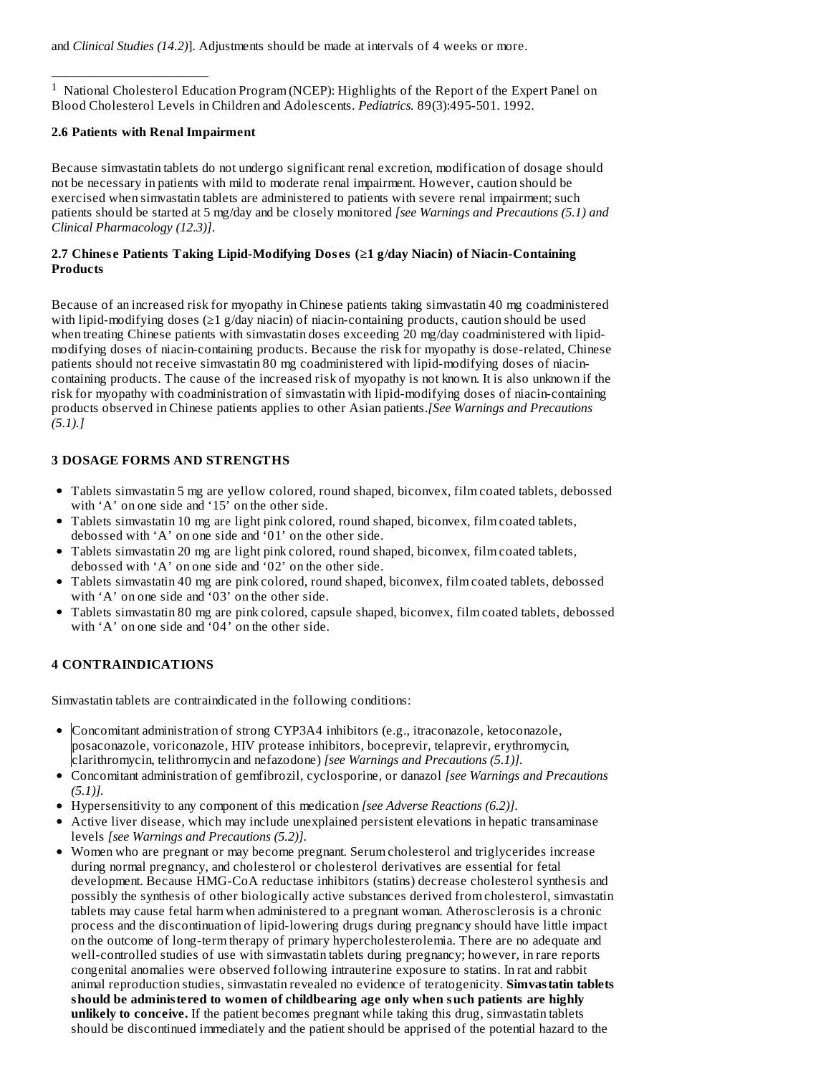———————————— <sup>1</sup> National Cholesterol Education Program (NCEP): Highlights of the Report of the Expert Panel on Blood Cholesterol Levels in Children and Adolescents. *Pediatrics.* 89(3):495-501. 1992.

# **2.6 Patients with Renal Impairment**

Because simvastatin tablets do not undergo significant renal excretion, modification of dosage should not be necessary in patients with mild to moderate renal impairment. However, caution should be exercised when simvastatin tablets are administered to patients with severe renal impairment; such patients should be started at 5 mg/day and be closely monitored *[see Warnings and Precautions (5.1) and Clinical Pharmacology (12.3)]*.

# **2.7 Chines e Patients Taking Lipid-Modifying Dos es (≥1 g/day Niacin) of Niacin-Containing Products**

Because of an increased risk for myopathy in Chinese patients taking simvastatin 40 mg coadministered with lipid-modifying doses ( $\geq 1$  g/day niacin) of niacin-containing products, caution should be used when treating Chinese patients with simvastatin doses exceeding 20 mg/day coadministered with lipidmodifying doses of niacin-containing products. Because the risk for myopathy is dose-related, Chinese patients should not receive simvastatin 80 mg coadministered with lipid-modifying doses of niacincontaining products. The cause of the increased risk of myopathy is not known. It is also unknown if the risk for myopathy with coadministration of simvastatin with lipid-modifying doses of niacin-containing products observed in Chinese patients applies to other Asian patients.*[See Warnings and Precautions (5.1).]*

# **3 DOSAGE FORMS AND STRENGTHS**

- Tablets simvastatin 5 mg are yellow colored, round shaped, biconvex, film coated tablets, debossed with 'A' on one side and '15' on the other side.
- Tablets simvastatin 10 mg are light pink colored, round shaped, biconvex, film coated tablets, debossed with 'A' on one side and '01' on the other side.
- Tablets simvastatin 20 mg are light pink colored, round shaped, biconvex, film coated tablets, debossed with 'A' on one side and '02' on the other side.
- Tablets simvastatin 40 mg are pink colored, round shaped, biconvex, film coated tablets, debossed with 'A' on one side and '03' on the other side.
- Tablets simvastatin 80 mg are pink colored, capsule shaped, biconvex, film coated tablets, debossed with 'A' on one side and '04' on the other side.

# **4 CONTRAINDICATIONS**

Simvastatin tablets are contraindicated in the following conditions:

- Concomitant administration of strong CYP3A4 inhibitors (e.g., itraconazole, ketoconazole, posaconazole, voriconazole, HIV protease inhibitors, boceprevir, telaprevir, erythromycin, clarithromycin, telithromycin and nefazodone) *[see Warnings and Precautions (5.1)].*
- Concomitant administration of gemfibrozil, cyclosporine, or danazol *[see Warnings and Precautions (5.1)].*
- Hypersensitivity to any component of this medication *[see Adverse Reactions (6.2)]*.
- Active liver disease, which may include unexplained persistent elevations in hepatic transaminase levels *[see Warnings and Precautions (5.2)]*.
- Women who are pregnant or may become pregnant. Serum cholesterol and triglycerides increase during normal pregnancy, and cholesterol or cholesterol derivatives are essential for fetal development. Because HMG-CoA reductase inhibitors (statins) decrease cholesterol synthesis and possibly the synthesis of other biologically active substances derived from cholesterol, simvastatin tablets may cause fetal harm when administered to a pregnant woman. Atherosclerosis is a chronic process and the discontinuation of lipid-lowering drugs during pregnancy should have little impact on the outcome of long-term therapy of primary hypercholesterolemia. There are no adequate and well-controlled studies of use with simvastatin tablets during pregnancy; however, in rare reports congenital anomalies were observed following intrauterine exposure to statins. In rat and rabbit animal reproduction studies, simvastatin revealed no evidence of teratogenicity. **Simvastatin tablets should be administered to women of childbearing age only when such patients are highly unlikely to conceive.** If the patient becomes pregnant while taking this drug, simvastatin tablets should be discontinued immediately and the patient should be apprised of the potential hazard to the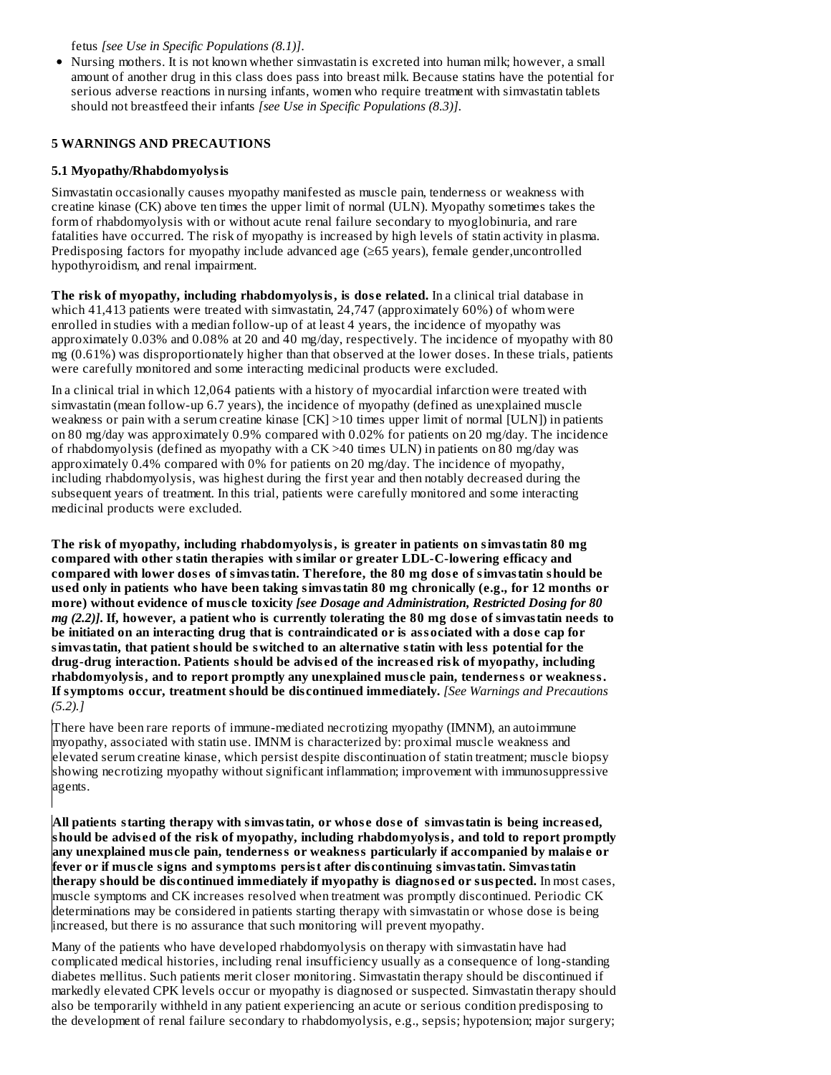fetus *[see Use in Specific Populations (8.1)]*.

Nursing mothers. It is not known whether simvastatin is excreted into human milk; however, a small amount of another drug in this class does pass into breast milk. Because statins have the potential for serious adverse reactions in nursing infants, women who require treatment with simvastatin tablets should not breastfeed their infants *[see Use in Specific Populations (8.3)]*.

## **5 WARNINGS AND PRECAUTIONS**

## **5.1 Myopathy/Rhabdomyolysis**

Simvastatin occasionally causes myopathy manifested as muscle pain, tenderness or weakness with creatine kinase (CK) above ten times the upper limit of normal (ULN). Myopathy sometimes takes the form of rhabdomyolysis with or without acute renal failure secondary to myoglobinuria, and rare fatalities have occurred. The risk of myopathy is increased by high levels of statin activity in plasma. Predisposing factors for myopathy include advanced age (≥65 years), female gender,uncontrolled hypothyroidism, and renal impairment.

**The risk of myopathy, including rhabdomyolysis, is dos e related.** In a clinical trial database in which 41,413 patients were treated with simvastatin, 24,747 (approximately 60%) of whom were enrolled in studies with a median follow-up of at least 4 years, the incidence of myopathy was approximately 0.03% and 0.08% at 20 and 40 mg/day, respectively. The incidence of myopathy with 80 mg (0.61%) was disproportionately higher than that observed at the lower doses. In these trials, patients were carefully monitored and some interacting medicinal products were excluded.

In a clinical trial in which 12,064 patients with a history of myocardial infarction were treated with simvastatin (mean follow-up 6.7 years), the incidence of myopathy (defined as unexplained muscle weakness or pain with a serum creatine kinase  $[CK] > 10$  times upper limit of normal  $[ULN]$ ) in patients on 80 mg/day was approximately 0.9% compared with 0.02% for patients on 20 mg/day. The incidence of rhabdomyolysis (defined as myopathy with a CK >40 times ULN) in patients on 80 mg/day was approximately 0.4% compared with 0% for patients on 20 mg/day. The incidence of myopathy, including rhabdomyolysis, was highest during the first year and then notably decreased during the subsequent years of treatment. In this trial, patients were carefully monitored and some interacting medicinal products were excluded.

**The risk of myopathy, including rhabdomyolysis, is greater in patients on simvastatin 80 mg compared with other statin therapies with similar or greater LDL-C-lowering efficacy and compared with lower dos es of simvastatin. Therefore, the 80 mg dos e of simvastatin should be us ed only in patients who have been taking simvastatin 80 mg chronically (e.g., for 12 months or more) without evidence of mus cle toxicity** *[see Dosage and Administration, Restricted Dosing for 80* mg (2.2)]. If, however, a patient who is currently tolerating the 80 mg dose of simvastatin needs to **be initiated on an interacting drug that is contraindicated or is associated with a dos e cap for simvastatin, that patient should be switched to an alternative statin with less potential for the drug-drug interaction. Patients should be advis ed of the increas ed risk of myopathy, including rhabdomyolysis, and to report promptly any unexplained mus cle pain, tenderness or weakness. If symptoms occur, treatment should be dis continued immediately.** *[See Warnings and Precautions (5.2).]*

There have been rare reports of immune-mediated necrotizing myopathy (IMNM), an autoimmune myopathy, associated with statin use. IMNM is characterized by: proximal muscle weakness and elevated serum creatine kinase, which persist despite discontinuation of statin treatment; muscle biopsy showing necrotizing myopathy without significant inflammation; improvement with immunosuppressive agents.

**All patients starting therapy with simvastatin, or whos e dos e of simvastatin is being increas ed, should be advis ed of the risk of myopathy, including rhabdomyolysis, and told to report promptly any unexplained mus cle pain, tenderness or weakness particularly if accompanied by malais e or fever or if mus cle signs and symptoms persist after dis continuing simvastatin. Simvastatin therapy should be dis continued immediately if myopathy is diagnos ed or suspected.** In most cases, muscle symptoms and CK increases resolved when treatment was promptly discontinued. Periodic CK determinations may be considered in patients starting therapy with simvastatin or whose dose is being increased, but there is no assurance that such monitoring will prevent myopathy.

Many of the patients who have developed rhabdomyolysis on therapy with simvastatin have had complicated medical histories, including renal insufficiency usually as a consequence of long-standing diabetes mellitus. Such patients merit closer monitoring. Simvastatin therapy should be discontinued if markedly elevated CPK levels occur or myopathy is diagnosed or suspected. Simvastatin therapy should also be temporarily withheld in any patient experiencing an acute or serious condition predisposing to the development of renal failure secondary to rhabdomyolysis, e.g., sepsis; hypotension; major surgery;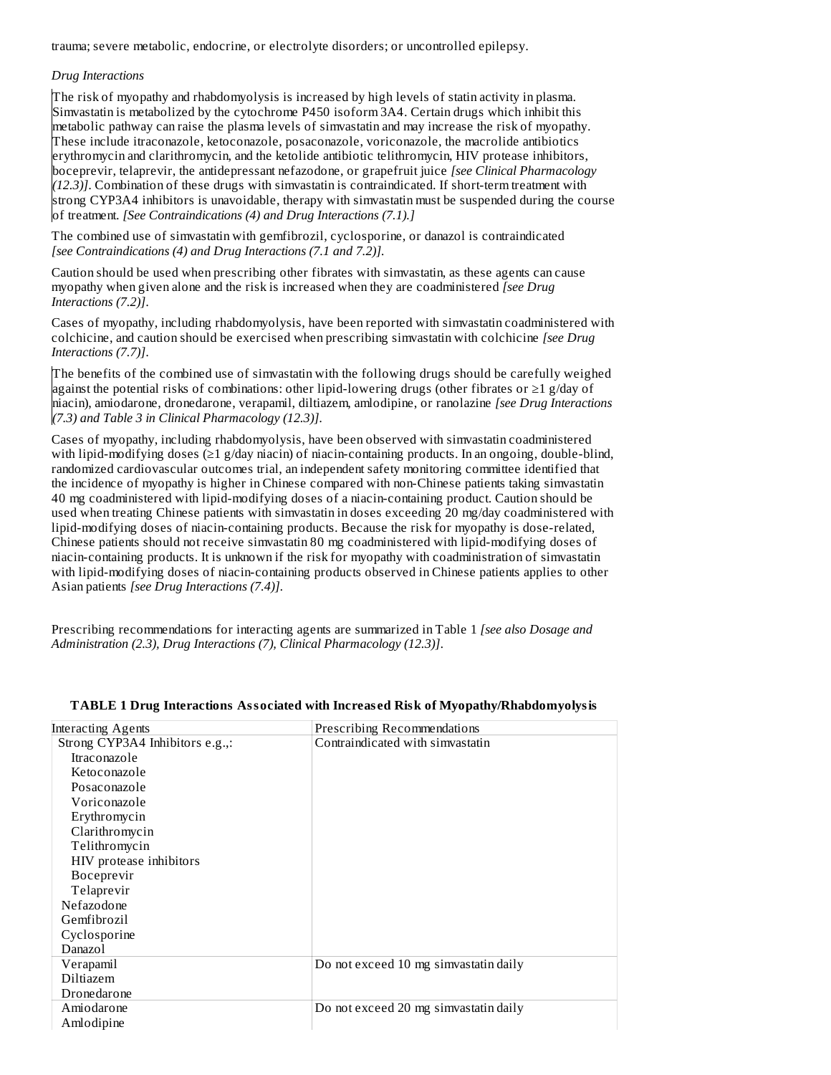trauma; severe metabolic, endocrine, or electrolyte disorders; or uncontrolled epilepsy.

#### *Drug Interactions*

The risk of myopathy and rhabdomyolysis is increased by high levels of statin activity in plasma. Simvastatin is metabolized by the cytochrome P450 isoform 3A4. Certain drugs which inhibit this metabolic pathway can raise the plasma levels of simvastatin and may increase the risk of myopathy. These include itraconazole, ketoconazole, posaconazole, voriconazole, the macrolide antibiotics erythromycin and clarithromycin, and the ketolide antibiotic telithromycin, HIV protease inhibitors, boceprevir, telaprevir, the antidepressant nefazodone, or grapefruit juice *[see Clinical Pharmacology (12.3)]*. Combination of these drugs with simvastatin is contraindicated. If short-term treatment with strong CYP3A4 inhibitors is unavoidable, therapy with simvastatin must be suspended during the course of treatment. *[See Contraindications (4) and Drug Interactions (7.1).]*

The combined use of simvastatin with gemfibrozil, cyclosporine, or danazol is contraindicated *[see Contraindications (4) and Drug Interactions (7.1 and 7.2)].*

Caution should be used when prescribing other fibrates with simvastatin, as these agents can cause myopathy when given alone and the risk is increased when they are coadministered *[see Drug Interactions (7.2)]*.

Cases of myopathy, including rhabdomyolysis, have been reported with simvastatin coadministered with colchicine, and caution should be exercised when prescribing simvastatin with colchicine *[see Drug Interactions (7.7)]*.

The benefits of the combined use of simvastatin with the following drugs should be carefully weighed against the potential risks of combinations: other lipid-lowering drugs (other fibrates or ≥1 g/day of niacin), amiodarone, dronedarone, verapamil, diltiazem, amlodipine, or ranolazine *[see Drug Interactions (7.3) and Table 3 in Clinical Pharmacology (12.3)]*.

Cases of myopathy, including rhabdomyolysis, have been observed with simvastatin coadministered with lipid-modifying doses (≥1 g/day niacin) of niacin-containing products. In an ongoing, double-blind, randomized cardiovascular outcomes trial, an independent safety monitoring committee identified that the incidence of myopathy is higher in Chinese compared with non-Chinese patients taking simvastatin 40 mg coadministered with lipid-modifying doses of a niacin-containing product. Caution should be used when treating Chinese patients with simvastatin in doses exceeding 20 mg/day coadministered with lipid-modifying doses of niacin-containing products. Because the risk for myopathy is dose-related, Chinese patients should not receive simvastatin 80 mg coadministered with lipid-modifying doses of niacin-containing products. It is unknown if the risk for myopathy with coadministration of simvastatin with lipid-modifying doses of niacin-containing products observed in Chinese patients applies to other Asian patients *[see Drug Interactions (7.4)]*.

Prescribing recommendations for interacting agents are summarized in Table 1 *[see also Dosage and Administration (2.3), Drug Interactions (7), Clinical Pharmacology (12.3)]*.

| <b>Interacting Agents</b>       | Prescribing Recommendations           |
|---------------------------------|---------------------------------------|
| Strong CYP3A4 Inhibitors e.g.,: | Contraindicated with simvastatin      |
| Itraconazole                    |                                       |
| Ketoconazole                    |                                       |
| Posaconazole                    |                                       |
| Voriconazole                    |                                       |
| Erythromycin                    |                                       |
| Clarithromycin                  |                                       |
| Telithromycin                   |                                       |
| HIV protease inhibitors         |                                       |
| <b>Boceprevir</b>               |                                       |
| Telaprevir                      |                                       |
| Nefazodone                      |                                       |
| Gemfibrozil                     |                                       |
| Cyclosporine                    |                                       |
| Danazol                         |                                       |
| Verapamil                       | Do not exceed 10 mg simvastatin daily |
| Diltiazem                       |                                       |
| Dronedarone                     |                                       |
| Amiodarone                      | Do not exceed 20 mg simvastatin daily |
| Amlodipine                      |                                       |

#### **TABLE 1 Drug Interactions Associated with Increas ed Risk of Myopathy/Rhabdomyolysis**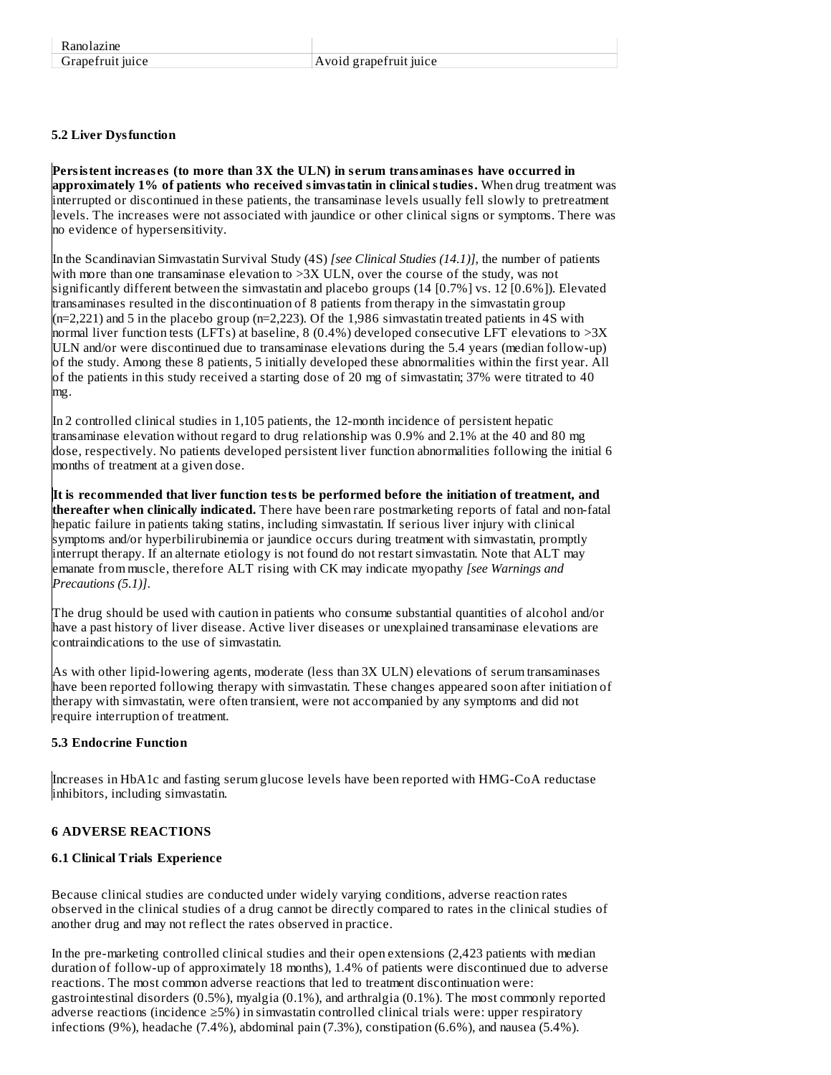# **5.2 Liver Dysfunction**

**Persistent increas es (to more than 3X the ULN) in s erum transaminas es have occurred in approximately 1% of patients who received simvastatin in clinical studies.** When drug treatment was interrupted or discontinued in these patients, the transaminase levels usually fell slowly to pretreatment levels. The increases were not associated with jaundice or other clinical signs or symptoms. There was no evidence of hypersensitivity.

In the Scandinavian Simvastatin Survival Study (4S) *[see Clinical Studies (14.1)]*, the number of patients with more than one transaminase elevation to >3X ULN, over the course of the study, was not significantly different between the simvastatin and placebo groups (14 [0.7%] vs. 12 [0.6%]). Elevated transaminases resulted in the discontinuation of 8 patients from therapy in the simvastatin group  $(n=2,221)$  and 5 in the placebo group  $(n=2,223)$ . Of the 1,986 simvastatin treated patients in 4S with normal liver function tests (LFTs) at baseline, 8 (0.4%) developed consecutive LFT elevations to >3X ULN and/or were discontinued due to transaminase elevations during the 5.4 years (median follow-up) of the study. Among these 8 patients, 5 initially developed these abnormalities within the first year. All of the patients in this study received a starting dose of 20 mg of simvastatin; 37% were titrated to 40 mg.

In 2 controlled clinical studies in 1,105 patients, the 12-month incidence of persistent hepatic transaminase elevation without regard to drug relationship was 0.9% and 2.1% at the 40 and 80 mg dose, respectively. No patients developed persistent liver function abnormalities following the initial 6 months of treatment at a given dose.

**It is recommended that liver function tests be performed before the initiation of treatment, and thereafter when clinically indicated.** There have been rare postmarketing reports of fatal and non-fatal hepatic failure in patients taking statins, including simvastatin. If serious liver injury with clinical symptoms and/or hyperbilirubinemia or jaundice occurs during treatment with simvastatin, promptly interrupt therapy. If an alternate etiology is not found do not restart simvastatin. Note that ALT may emanate from muscle, therefore ALT rising with CK may indicate myopathy *[see Warnings and Precautions (5.1)]*.

The drug should be used with caution in patients who consume substantial quantities of alcohol and/or have a past history of liver disease. Active liver diseases or unexplained transaminase elevations are contraindications to the use of simvastatin.

As with other lipid-lowering agents, moderate (less than 3X ULN) elevations of serum transaminases have been reported following therapy with simvastatin. These changes appeared soon after initiation of therapy with simvastatin, were often transient, were not accompanied by any symptoms and did not require interruption of treatment.

#### **5.3 Endocrine Function**

Increases in HbA1c and fasting serum glucose levels have been reported with HMG-CoA reductase inhibitors, including simvastatin.

# **6 ADVERSE REACTIONS**

#### **6.1 Clinical Trials Experience**

Because clinical studies are conducted under widely varying conditions, adverse reaction rates observed in the clinical studies of a drug cannot be directly compared to rates in the clinical studies of another drug and may not reflect the rates observed in practice.

In the pre-marketing controlled clinical studies and their open extensions (2,423 patients with median duration of follow-up of approximately 18 months), 1.4% of patients were discontinued due to adverse reactions. The most common adverse reactions that led to treatment discontinuation were: gastrointestinal disorders (0.5%), myalgia (0.1%), and arthralgia (0.1%). The most commonly reported adverse reactions (incidence ≥5%) in simvastatin controlled clinical trials were: upper respiratory infections (9%), headache (7.4%), abdominal pain (7.3%), constipation (6.6%), and nausea (5.4%).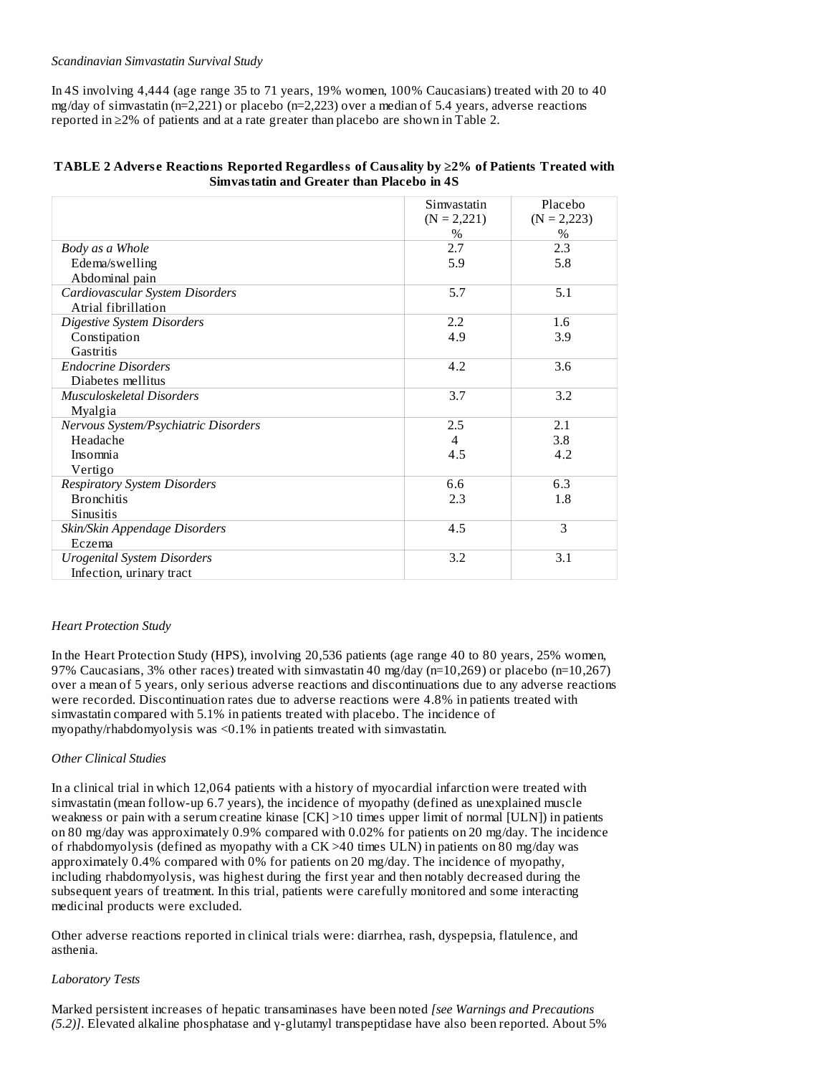#### *Scandinavian Simvastatin Survival Study*

In 4S involving 4,444 (age range 35 to 71 years, 19% women, 100% Caucasians) treated with 20 to 40 mg/day of simvastatin (n=2,221) or placebo (n=2,223) over a median of 5.4 years, adverse reactions reported in ≥2% of patients and at a rate greater than placebo are shown in Table 2.

#### **TABLE 2 Advers e Reactions Reported Regardless of Causality by ≥2% of Patients Treated with Simvastatin and Greater than Placebo in 4S**

|                                      | Simvastatin    | Placebo       |
|--------------------------------------|----------------|---------------|
|                                      | $(N = 2,221)$  | $(N = 2,223)$ |
|                                      | $\%$           | $\%$          |
| Body as a Whole                      | 2.7            | 2.3           |
| Edema/swelling                       | 5.9            | 5.8           |
| Abdominal pain                       |                |               |
| Cardiovascular System Disorders      | 5.7            | 5.1           |
| Atrial fibrillation                  |                |               |
| <b>Digestive System Disorders</b>    | 2.2            | 1.6           |
| Constipation                         | 4.9            | 3.9           |
| Gastritis                            |                |               |
| <b>Endocrine Disorders</b>           | 4.2            | 3.6           |
| Diabetes mellitus                    |                |               |
| Musculoskeletal Disorders            | 3.7            | 3.2           |
| Myalgia                              |                |               |
| Nervous System/Psychiatric Disorders | 2.5            | 2.1           |
| Headache                             | $\overline{4}$ | 3.8           |
| Insomnia                             | 4.5            | 4.2           |
| Vertigo                              |                |               |
| <b>Respiratory System Disorders</b>  | 6.6            | 6.3           |
| <b>Bronchitis</b>                    | 2.3            | 1.8           |
| Sinusitis                            |                |               |
| Skin/Skin Appendage Disorders        | 4.5            | 3             |
| Eczema                               |                |               |
| <b>Urogenital System Disorders</b>   | 3.2            | 3.1           |
| Infection, urinary tract             |                |               |

#### *Heart Protection Study*

In the Heart Protection Study (HPS), involving 20,536 patients (age range 40 to 80 years, 25% women, 97% Caucasians, 3% other races) treated with simvastatin 40 mg/day (n=10,269) or placebo (n=10,267) over a mean of 5 years, only serious adverse reactions and discontinuations due to any adverse reactions were recorded. Discontinuation rates due to adverse reactions were 4.8% in patients treated with simvastatin compared with 5.1% in patients treated with placebo. The incidence of myopathy/rhabdomyolysis was <0.1% in patients treated with simvastatin.

#### *Other Clinical Studies*

In a clinical trial in which 12,064 patients with a history of myocardial infarction were treated with simvastatin (mean follow-up 6.7 years), the incidence of myopathy (defined as unexplained muscle weakness or pain with a serum creatine kinase [CK] >10 times upper limit of normal [ULN]) in patients on 80 mg/day was approximately 0.9% compared with 0.02% for patients on 20 mg/day. The incidence of rhabdomyolysis (defined as myopathy with a CK >40 times ULN) in patients on 80 mg/day was approximately 0.4% compared with 0% for patients on 20 mg/day. The incidence of myopathy, including rhabdomyolysis, was highest during the first year and then notably decreased during the subsequent years of treatment. In this trial, patients were carefully monitored and some interacting medicinal products were excluded.

Other adverse reactions reported in clinical trials were: diarrhea, rash, dyspepsia, flatulence, and asthenia.

#### *Laboratory Tests*

Marked persistent increases of hepatic transaminases have been noted *[see Warnings and Precautions (5.2)]*. Elevated alkaline phosphatase and γ-glutamyl transpeptidase have also been reported. About 5%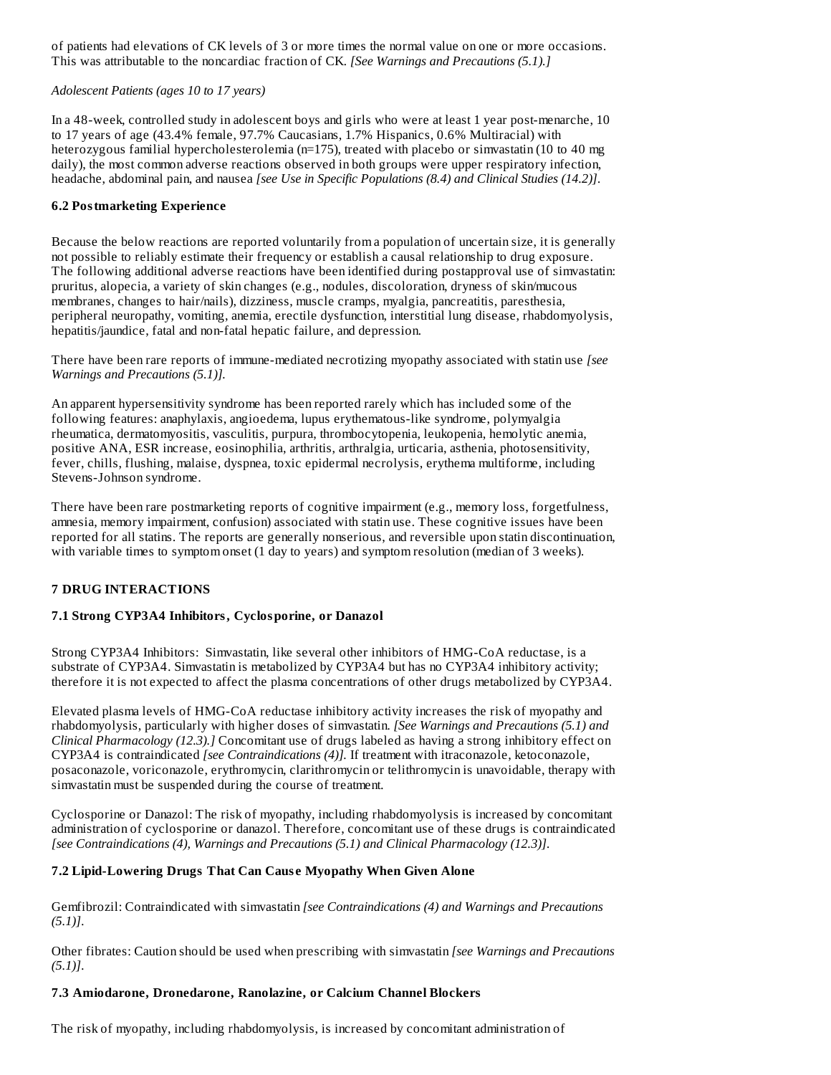of patients had elevations of CK levels of 3 or more times the normal value on one or more occasions. This was attributable to the noncardiac fraction of CK. *[See Warnings and Precautions (5.1).]*

## *Adolescent Patients (ages 10 to 17 years)*

In a 48-week, controlled study in adolescent boys and girls who were at least 1 year post-menarche, 10 to 17 years of age (43.4% female, 97.7% Caucasians, 1.7% Hispanics, 0.6% Multiracial) with heterozygous familial hypercholesterolemia (n=175), treated with placebo or simvastatin (10 to 40 mg daily), the most common adverse reactions observed in both groups were upper respiratory infection, headache, abdominal pain, and nausea *[see Use in Specific Populations (8.4) and Clinical Studies (14.2)]*.

## **6.2 Postmarketing Experience**

Because the below reactions are reported voluntarily from a population of uncertain size, it is generally not possible to reliably estimate their frequency or establish a causal relationship to drug exposure. The following additional adverse reactions have been identified during postapproval use of simvastatin: pruritus, alopecia, a variety of skin changes (e.g., nodules, discoloration, dryness of skin/mucous membranes, changes to hair/nails), dizziness, muscle cramps, myalgia, pancreatitis, paresthesia, peripheral neuropathy, vomiting, anemia, erectile dysfunction, interstitial lung disease, rhabdomyolysis, hepatitis/jaundice, fatal and non-fatal hepatic failure, and depression.

There have been rare reports of immune-mediated necrotizing myopathy associated with statin use *[see Warnings and Precautions (5.1)].*

An apparent hypersensitivity syndrome has been reported rarely which has included some of the following features: anaphylaxis, angioedema, lupus erythematous-like syndrome, polymyalgia rheumatica, dermatomyositis, vasculitis, purpura, thrombocytopenia, leukopenia, hemolytic anemia, positive ANA, ESR increase, eosinophilia, arthritis, arthralgia, urticaria, asthenia, photosensitivity, fever, chills, flushing, malaise, dyspnea, toxic epidermal necrolysis, erythema multiforme, including Stevens-Johnson syndrome.

There have been rare postmarketing reports of cognitive impairment (e.g., memory loss, forgetfulness, amnesia, memory impairment, confusion) associated with statin use. These cognitive issues have been reported for all statins. The reports are generally nonserious, and reversible upon statin discontinuation, with variable times to symptom onset (1 day to years) and symptom resolution (median of 3 weeks).

# **7 DRUG INTERACTIONS**

# **7.1 Strong CYP3A4 Inhibitors, Cyclosporine, or Danazol**

Strong CYP3A4 Inhibitors: Simvastatin, like several other inhibitors of HMG-CoA reductase, is a substrate of CYP3A4. Simvastatin is metabolized by CYP3A4 but has no CYP3A4 inhibitory activity; therefore it is not expected to affect the plasma concentrations of other drugs metabolized by CYP3A4.

Elevated plasma levels of HMG-CoA reductase inhibitory activity increases the risk of myopathy and rhabdomyolysis, particularly with higher doses of simvastatin. *[See Warnings and Precautions (5.1) and Clinical Pharmacology (12.3).]* Concomitant use of drugs labeled as having a strong inhibitory effect on CYP3A4 is contraindicated *[see Contraindications (4)].* If treatment with itraconazole, ketoconazole, posaconazole, voriconazole, erythromycin, clarithromycin or telithromycin is unavoidable, therapy with simvastatin must be suspended during the course of treatment.

Cyclosporine or Danazol: The risk of myopathy, including rhabdomyolysis is increased by concomitant administration of cyclosporine or danazol. Therefore, concomitant use of these drugs is contraindicated *[see Contraindications (4), Warnings and Precautions (5.1) and Clinical Pharmacology (12.3)]*.

# **7.2 Lipid-Lowering Drugs That Can Caus e Myopathy When Given Alone**

Gemfibrozil: Contraindicated with simvastatin *[see Contraindications (4) and Warnings and Precautions (5.1)]*.

Other fibrates: Caution should be used when prescribing with simvastatin *[see Warnings and Precautions (5.1)]*.

#### **7.3 Amiodarone, Dronedarone, Ranolazine, or Calcium Channel Blockers**

The risk of myopathy, including rhabdomyolysis, is increased by concomitant administration of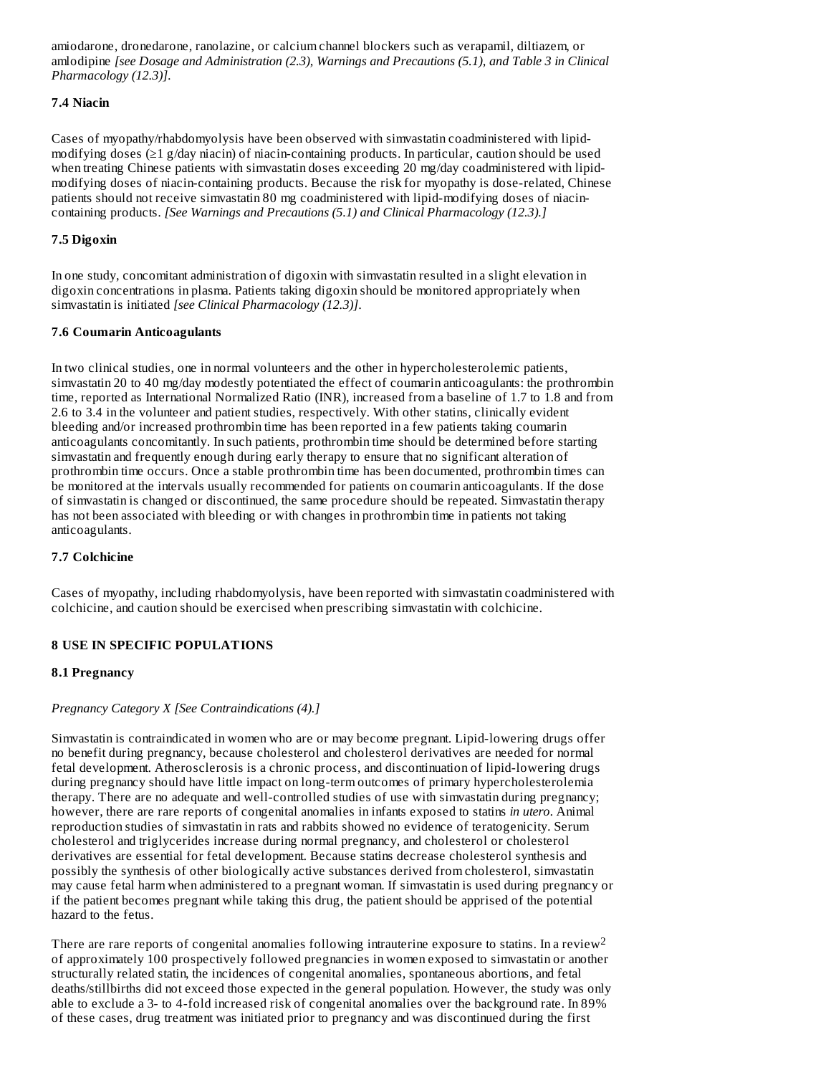amiodarone, dronedarone, ranolazine, or calcium channel blockers such as verapamil, diltiazem, or amlodipine *[see Dosage and Administration (2.3), Warnings and Precautions (5.1), and Table 3 in Clinical Pharmacology (12.3)]*.

# **7.4 Niacin**

Cases of myopathy/rhabdomyolysis have been observed with simvastatin coadministered with lipidmodifying doses (≥1 g/day niacin) of niacin-containing products. In particular, caution should be used when treating Chinese patients with simvastatin doses exceeding 20 mg/day coadministered with lipidmodifying doses of niacin-containing products. Because the risk for myopathy is dose-related, Chinese patients should not receive simvastatin 80 mg coadministered with lipid-modifying doses of niacincontaining products. *[See Warnings and Precautions (5.1) and Clinical Pharmacology (12.3).]*

## **7.5 Digoxin**

In one study, concomitant administration of digoxin with simvastatin resulted in a slight elevation in digoxin concentrations in plasma. Patients taking digoxin should be monitored appropriately when simvastatin is initiated *[see Clinical Pharmacology (12.3)]*.

#### **7.6 Coumarin Anticoagulants**

In two clinical studies, one in normal volunteers and the other in hypercholesterolemic patients, simvastatin 20 to 40 mg/day modestly potentiated the effect of coumarin anticoagulants: the prothrombin time, reported as International Normalized Ratio (INR), increased from a baseline of 1.7 to 1.8 and from 2.6 to 3.4 in the volunteer and patient studies, respectively. With other statins, clinically evident bleeding and/or increased prothrombin time has been reported in a few patients taking coumarin anticoagulants concomitantly. In such patients, prothrombin time should be determined before starting simvastatin and frequently enough during early therapy to ensure that no significant alteration of prothrombin time occurs. Once a stable prothrombin time has been documented, prothrombin times can be monitored at the intervals usually recommended for patients on coumarin anticoagulants. If the dose of simvastatin is changed or discontinued, the same procedure should be repeated. Simvastatin therapy has not been associated with bleeding or with changes in prothrombin time in patients not taking anticoagulants.

#### **7.7 Colchicine**

Cases of myopathy, including rhabdomyolysis, have been reported with simvastatin coadministered with colchicine, and caution should be exercised when prescribing simvastatin with colchicine.

# **8 USE IN SPECIFIC POPULATIONS**

## **8.1 Pregnancy**

#### *Pregnancy Category X [See Contraindications (4).]*

Simvastatin is contraindicated in women who are or may become pregnant. Lipid-lowering drugs offer no benefit during pregnancy, because cholesterol and cholesterol derivatives are needed for normal fetal development. Atherosclerosis is a chronic process, and discontinuation of lipid-lowering drugs during pregnancy should have little impact on long-term outcomes of primary hypercholesterolemia therapy. There are no adequate and well-controlled studies of use with simvastatin during pregnancy; however, there are rare reports of congenital anomalies in infants exposed to statins *in utero*. Animal reproduction studies of simvastatin in rats and rabbits showed no evidence of teratogenicity. Serum cholesterol and triglycerides increase during normal pregnancy, and cholesterol or cholesterol derivatives are essential for fetal development. Because statins decrease cholesterol synthesis and possibly the synthesis of other biologically active substances derived from cholesterol, simvastatin may cause fetal harm when administered to a pregnant woman. If simvastatin is used during pregnancy or if the patient becomes pregnant while taking this drug, the patient should be apprised of the potential hazard to the fetus.

There are rare reports of congenital anomalies following intrauterine exposure to statins. In a review  $^2$ of approximately 100 prospectively followed pregnancies in women exposed to simvastatin or another structurally related statin, the incidences of congenital anomalies, spontaneous abortions, and fetal deaths/stillbirths did not exceed those expected in the general population. However, the study was only able to exclude a 3- to 4-fold increased risk of congenital anomalies over the background rate. In 89% of these cases, drug treatment was initiated prior to pregnancy and was discontinued during the first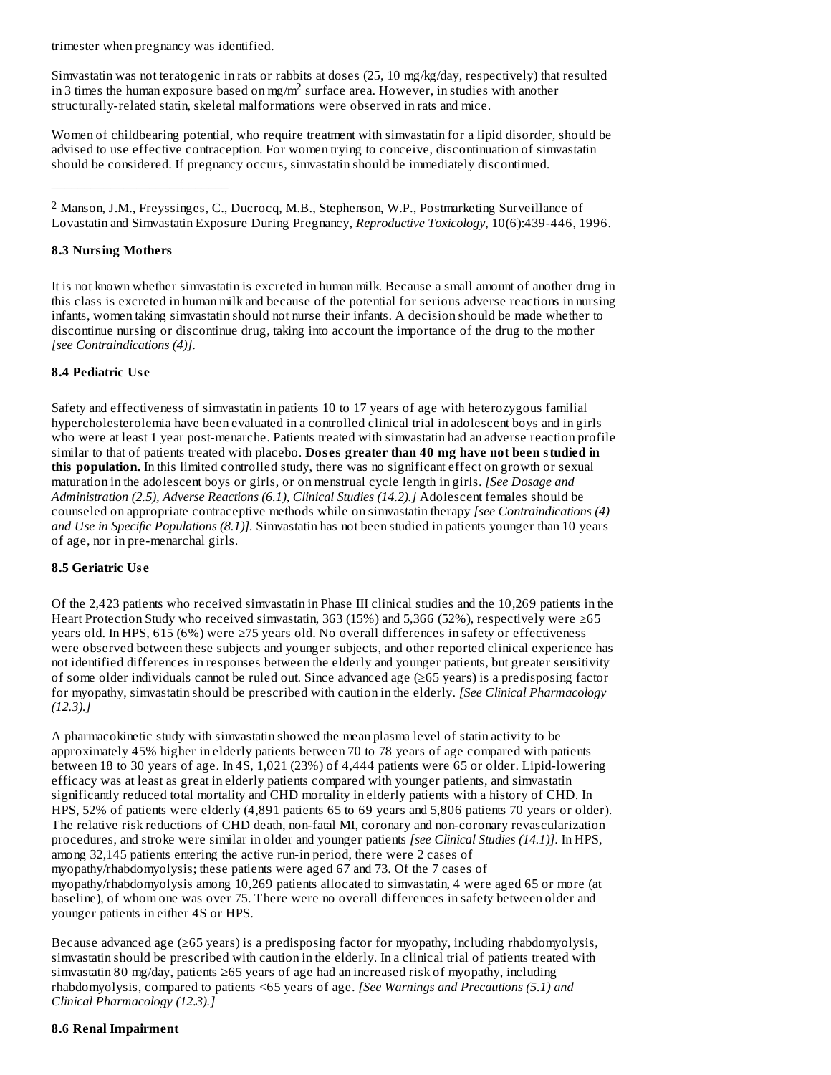trimester when pregnancy was identified.

Simvastatin was not teratogenic in rats or rabbits at doses (25, 10 mg/kg/day, respectively) that resulted in 3 times the human exposure based on mg/m<sup>2</sup> surface area. However, in studies with another structurally-related statin, skeletal malformations were observed in rats and mice.

Women of childbearing potential, who require treatment with simvastatin for a lipid disorder, should be advised to use effective contraception. For women trying to conceive, discontinuation of simvastatin should be considered. If pregnancy occurs, simvastatin should be immediately discontinued.

¯¯¯¯¯¯¯¯¯¯¯¯¯¯¯¯¯¯¯¯¯¯¯¯¯¯¯  $2$  Manson, J.M., Freyssinges, C., Ducrocq, M.B., Stephenson, W.P., Postmarketing Surveillance of Lovastatin and Simvastatin Exposure During Pregnancy, *Reproductive Toxicology*, 10(6):439-446, 1996.

# **8.3 Nursing Mothers**

It is not known whether simvastatin is excreted in human milk. Because a small amount of another drug in this class is excreted in human milk and because of the potential for serious adverse reactions in nursing infants, women taking simvastatin should not nurse their infants. A decision should be made whether to discontinue nursing or discontinue drug, taking into account the importance of the drug to the mother *[see Contraindications (4)]*.

## **8.4 Pediatric Us e**

Safety and effectiveness of simvastatin in patients 10 to 17 years of age with heterozygous familial hypercholesterolemia have been evaluated in a controlled clinical trial in adolescent boys and in girls who were at least 1 year post-menarche. Patients treated with simvastatin had an adverse reaction profile similar to that of patients treated with placebo. **Dos es greater than 40 mg have not been studied in this population.** In this limited controlled study, there was no significant effect on growth or sexual maturation in the adolescent boys or girls, or on menstrual cycle length in girls. *[See Dosage and Administration (2.5), Adverse Reactions (6.1), Clinical Studies (14.2).]* Adolescent females should be counseled on appropriate contraceptive methods while on simvastatin therapy *[see Contraindications (4) and Use in Specific Populations (8.1)].* Simvastatin has not been studied in patients younger than 10 years of age, nor in pre-menarchal girls.

# **8.5 Geriatric Us e**

Of the 2,423 patients who received simvastatin in Phase III clinical studies and the 10,269 patients in the Heart Protection Study who received simvastatin, 363 (15%) and 5,366 (52%), respectively were ≥65 years old. In HPS, 615 (6%) were ≥75 years old. No overall differences in safety or effectiveness were observed between these subjects and younger subjects, and other reported clinical experience has not identified differences in responses between the elderly and younger patients, but greater sensitivity of some older individuals cannot be ruled out. Since advanced age (≥65 years) is a predisposing factor for myopathy, simvastatin should be prescribed with caution in the elderly. *[See Clinical Pharmacology (12.3).]*

A pharmacokinetic study with simvastatin showed the mean plasma level of statin activity to be approximately 45% higher in elderly patients between 70 to 78 years of age compared with patients between 18 to 30 years of age. In 4S, 1,021 (23%) of 4,444 patients were 65 or older. Lipid-lowering efficacy was at least as great in elderly patients compared with younger patients, and simvastatin significantly reduced total mortality and CHD mortality in elderly patients with a history of CHD. In HPS, 52% of patients were elderly (4,891 patients 65 to 69 years and 5,806 patients 70 years or older). The relative risk reductions of CHD death, non-fatal MI, coronary and non-coronary revascularization procedures, and stroke were similar in older and younger patients *[see Clinical Studies (14.1)]*. In HPS, among 32,145 patients entering the active run-in period, there were 2 cases of myopathy/rhabdomyolysis; these patients were aged 67 and 73. Of the 7 cases of myopathy/rhabdomyolysis among 10,269 patients allocated to simvastatin, 4 were aged 65 or more (at baseline), of whom one was over 75. There were no overall differences in safety between older and younger patients in either 4S or HPS.

Because advanced age (≥65 years) is a predisposing factor for myopathy, including rhabdomyolysis, simvastatin should be prescribed with caution in the elderly. In a clinical trial of patients treated with simvastatin 80 mg/day, patients  $\geq 65$  years of age had an increased risk of myopathy, including rhabdomyolysis, compared to patients <65 years of age. *[See Warnings and Precautions (5.1) and Clinical Pharmacology (12.3).]*

## **8.6 Renal Impairment**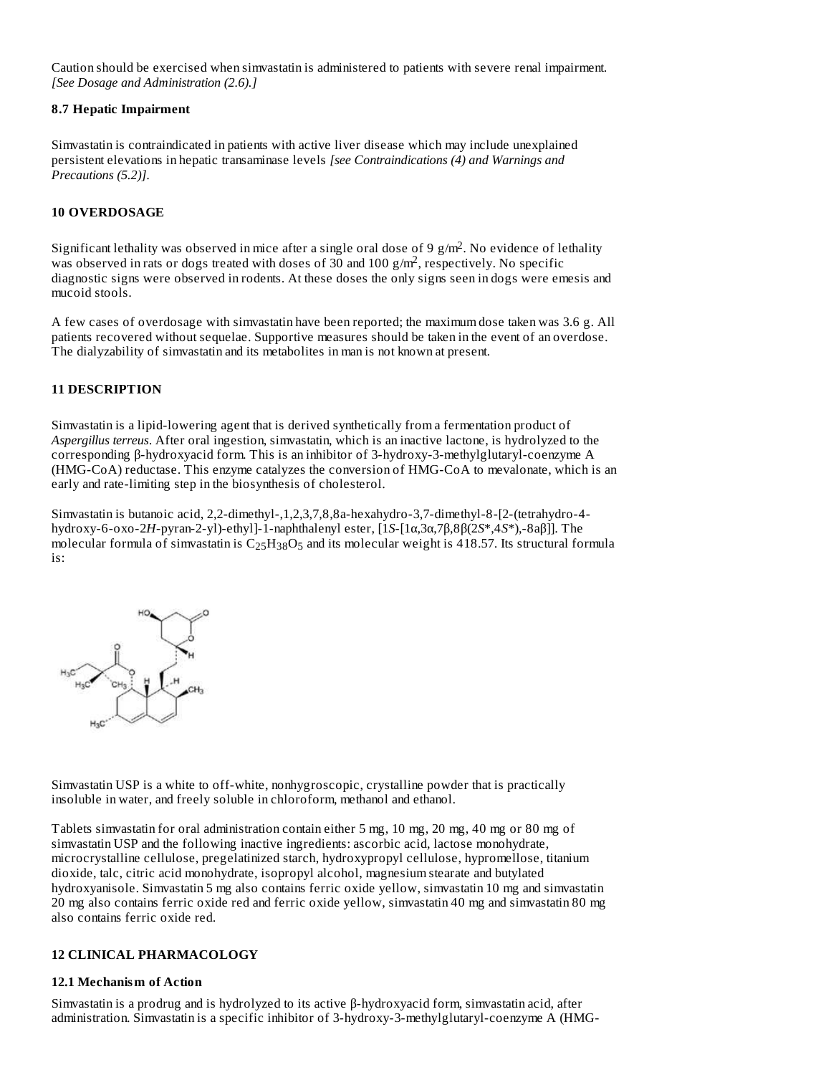Caution should be exercised when simvastatin is administered to patients with severe renal impairment. *[See Dosage and Administration (2.6).]*

#### **8.7 Hepatic Impairment**

Simvastatin is contraindicated in patients with active liver disease which may include unexplained persistent elevations in hepatic transaminase levels *[see Contraindications (4) and Warnings and Precautions (5.2)]*.

# **10 OVERDOSAGE**

Significant lethality was observed in mice after a single oral dose of 9  $g/m<sup>2</sup>$ . No evidence of lethality was observed in rats or dogs treated with doses of 30 and 100 g/m<sup>2</sup>, respectively. No specific diagnostic signs were observed in rodents. At these doses the only signs seen in dogs were emesis and mucoid stools.

A few cases of overdosage with simvastatin have been reported; the maximum dose taken was 3.6 g. All patients recovered without sequelae. Supportive measures should be taken in the event of an overdose. The dialyzability of simvastatin and its metabolites in man is not known at present.

# **11 DESCRIPTION**

Simvastatin is a lipid-lowering agent that is derived synthetically from a fermentation product of *Aspergillus terreus*. After oral ingestion, simvastatin, which is an inactive lactone, is hydrolyzed to the corresponding β-hydroxyacid form. This is an inhibitor of 3-hydroxy-3-methylglutaryl-coenzyme A (HMG-CoA) reductase. This enzyme catalyzes the conversion of HMG-CoA to mevalonate, which is an early and rate-limiting step in the biosynthesis of cholesterol.

Simvastatin is butanoic acid, 2,2-dimethyl-,1,2,3,7,8,8a-hexahydro-3,7-dimethyl-8-[2-(tetrahydro-4 hydroxy-6-oxo-2*H*-pyran-2-yl)-ethyl]-1-naphthalenyl ester, [1*S*-[1α,3α,7β,8β(2*S*\*,4*S*\*),-8aβ]]. The molecular formula of simvastatin is  $\rm{C_{25}H_{38}O_{5}}$  and its molecular weight is 418.57. Its structural formula is:



Simvastatin USP is a white to off-white, nonhygroscopic, crystalline powder that is practically insoluble in water, and freely soluble in chloroform, methanol and ethanol.

Tablets simvastatin for oral administration contain either 5 mg, 10 mg, 20 mg, 40 mg or 80 mg of simvastatin USP and the following inactive ingredients: ascorbic acid, lactose monohydrate, microcrystalline cellulose, pregelatinized starch, hydroxypropyl cellulose, hypromellose, titanium dioxide, talc, citric acid monohydrate, isopropyl alcohol, magnesium stearate and butylated hydroxyanisole. Simvastatin 5 mg also contains ferric oxide yellow, simvastatin 10 mg and simvastatin 20 mg also contains ferric oxide red and ferric oxide yellow, simvastatin 40 mg and simvastatin 80 mg also contains ferric oxide red.

# **12 CLINICAL PHARMACOLOGY**

# **12.1 Mechanism of Action**

Simvastatin is a prodrug and is hydrolyzed to its active β-hydroxyacid form, simvastatin acid, after administration. Simvastatin is a specific inhibitor of 3-hydroxy-3-methylglutaryl-coenzyme A (HMG-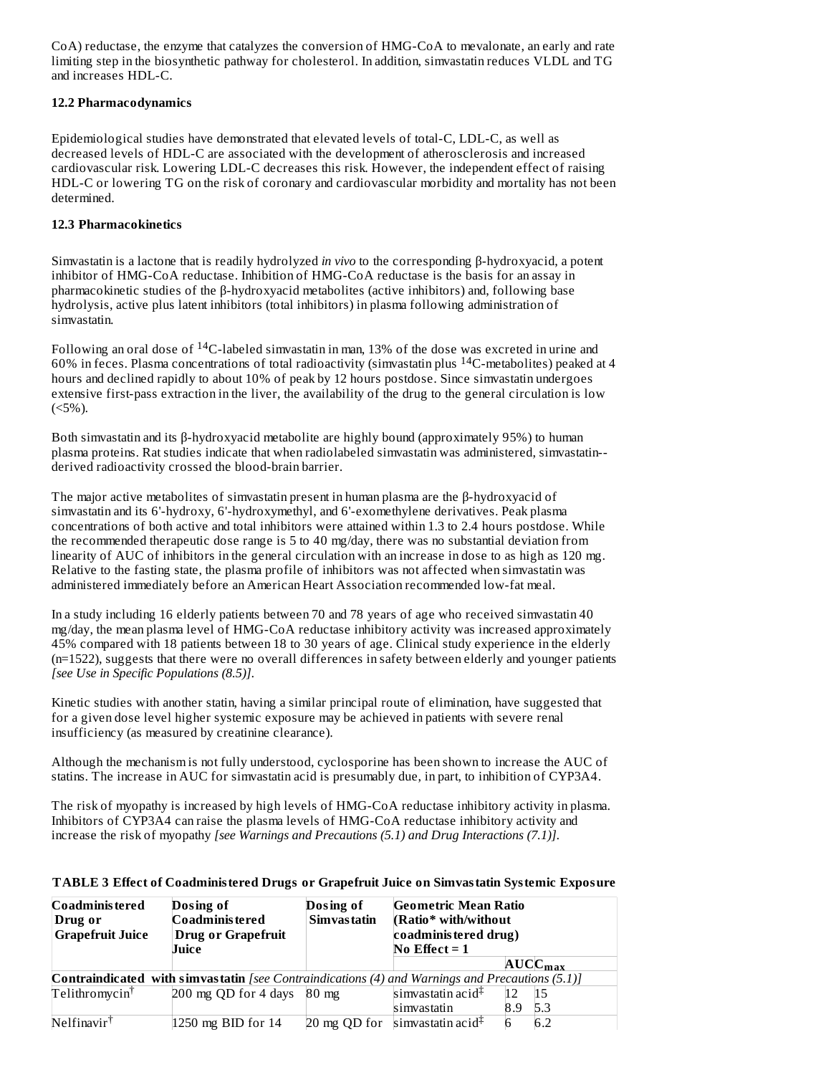CoA) reductase, the enzyme that catalyzes the conversion of HMG-CoA to mevalonate, an early and rate limiting step in the biosynthetic pathway for cholesterol. In addition, simvastatin reduces VLDL and TG and increases HDL-C.

## **12.2 Pharmacodynamics**

Epidemiological studies have demonstrated that elevated levels of total-C, LDL-C, as well as decreased levels of HDL-C are associated with the development of atherosclerosis and increased cardiovascular risk. Lowering LDL-C decreases this risk. However, the independent effect of raising HDL-C or lowering TG on the risk of coronary and cardiovascular morbidity and mortality has not been determined.

## **12.3 Pharmacokinetics**

Simvastatin is a lactone that is readily hydrolyzed *in vivo* to the corresponding β-hydroxyacid, a potent inhibitor of HMG-CoA reductase. Inhibition of HMG-CoA reductase is the basis for an assay in pharmacokinetic studies of the β-hydroxyacid metabolites (active inhibitors) and, following base hydrolysis, active plus latent inhibitors (total inhibitors) in plasma following administration of simvastatin.

Following an oral dose of  $^{14}$ C-labeled simvastatin in man, 13% of the dose was excreted in urine and 60% in feces. Plasma concentrations of total radioactivity (simvastatin plus  $^{14}$ C-metabolites) peaked at 4 hours and declined rapidly to about 10% of peak by 12 hours postdose. Since simvastatin undergoes extensive first-pass extraction in the liver, the availability of the drug to the general circulation is low  $(<5\%)$ .

Both simvastatin and its β-hydroxyacid metabolite are highly bound (approximately 95%) to human plasma proteins. Rat studies indicate that when radiolabeled simvastatin was administered, simvastatin- derived radioactivity crossed the blood-brain barrier.

The major active metabolites of simvastatin present in human plasma are the β-hydroxyacid of simvastatin and its 6'-hydroxy, 6'-hydroxymethyl, and 6'-exomethylene derivatives. Peak plasma concentrations of both active and total inhibitors were attained within 1.3 to 2.4 hours postdose. While the recommended therapeutic dose range is 5 to 40 mg/day, there was no substantial deviation from linearity of AUC of inhibitors in the general circulation with an increase in dose to as high as 120 mg. Relative to the fasting state, the plasma profile of inhibitors was not affected when simvastatin was administered immediately before an American Heart Association recommended low-fat meal.

In a study including 16 elderly patients between 70 and 78 years of age who received simvastatin 40 mg/day, the mean plasma level of HMG-CoA reductase inhibitory activity was increased approximately 45% compared with 18 patients between 18 to 30 years of age. Clinical study experience in the elderly (n=1522), suggests that there were no overall differences in safety between elderly and younger patients *[see Use in Specific Populations (8.5)]*.

Kinetic studies with another statin, having a similar principal route of elimination, have suggested that for a given dose level higher systemic exposure may be achieved in patients with severe renal insufficiency (as measured by creatinine clearance).

Although the mechanism is not fully understood, cyclosporine has been shown to increase the AUC of statins. The increase in AUC for simvastatin acid is presumably due, in part, to inhibition of CYP3A4.

The risk of myopathy is increased by high levels of HMG-CoA reductase inhibitory activity in plasma. Inhibitors of CYP3A4 can raise the plasma levels of HMG-CoA reductase inhibitory activity and increase the risk of myopathy *[see Warnings and Precautions (5.1) and Drug Interactions (7.1)]*.

#### **TABLE 3 Effect of Coadministered Drugs or Grapefruit Juice on Simvastatin Systemic Exposure**

| Coadminis tered<br>Drug or<br><b>Grapefruit Juice</b>                                                  | Dosing of<br>Coadminis tered<br><b>Drug or Grapefruit</b><br>Juice | Dosing of<br>Simvas tatin | <b>Geometric Mean Ratio</b><br>(Ratio* with/without<br>coadministered drug)<br>No Effect $= 1$ |            |  |
|--------------------------------------------------------------------------------------------------------|--------------------------------------------------------------------|---------------------------|------------------------------------------------------------------------------------------------|------------|--|
|                                                                                                        |                                                                    |                           | AUCC <sub>max</sub>                                                                            |            |  |
| <b>Contraindicated with simvastatin</b> [see Contraindications (4) and Warnings and Precautions (5.1)] |                                                                    |                           |                                                                                                |            |  |
| Telithromycin <sup>†</sup>                                                                             | 200 mg QD for 4 days                                               | $80 \text{ mg}$           | simvastatin acid <sup>‡</sup>                                                                  |            |  |
|                                                                                                        |                                                                    |                           | simvastatin                                                                                    | 5.3<br>8.9 |  |
| Nelfinavir <sup>†</sup>                                                                                | $ 1250 \text{ mg BID}$ for 14                                      |                           | 20 mg QD for simvastatin acid <sup><math>\ddagger</math></sup>                                 | 6.2        |  |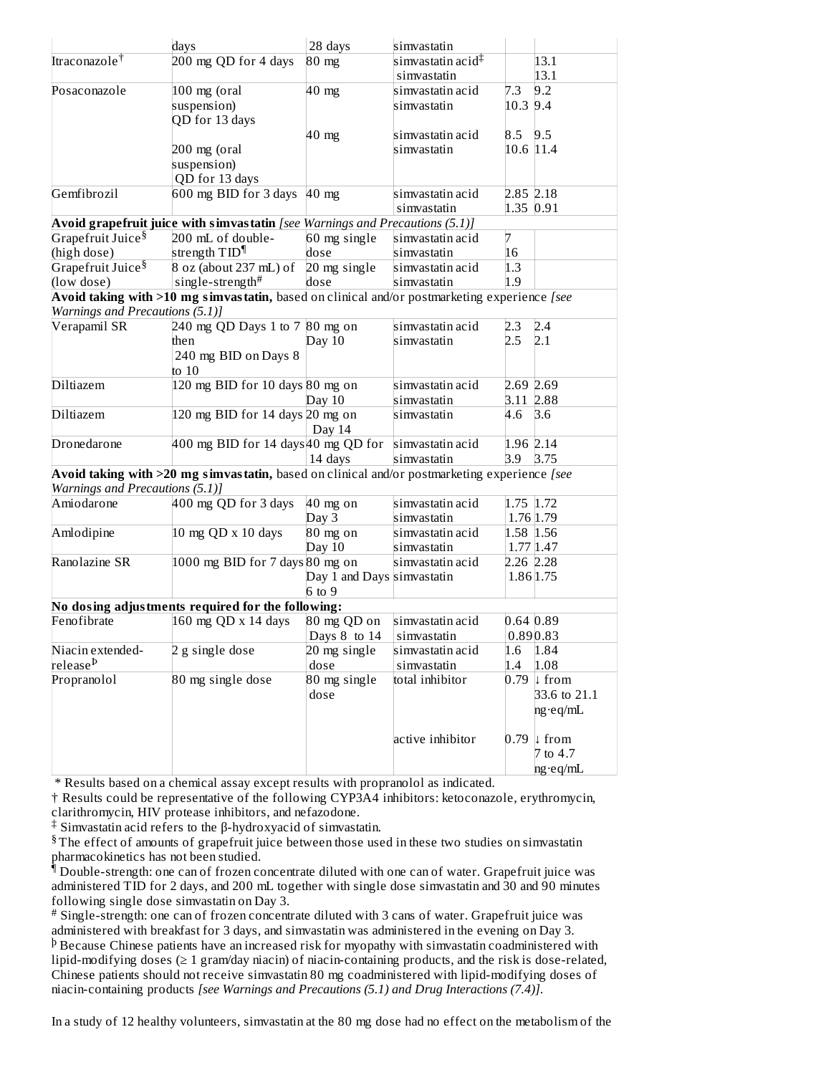|                                 | days                                                                                         | 28 days                    | simvastatin               |                           |
|---------------------------------|----------------------------------------------------------------------------------------------|----------------------------|---------------------------|---------------------------|
| Itraconazole†                   | 200 mg QD for 4 days                                                                         | $80 \text{ mg}$            | simvastatin acid $^\ddag$ | 13.1                      |
|                                 |                                                                                              |                            | simvastatin               | 13.1                      |
| Posaconazole                    | 100 mg (oral                                                                                 | $40$ mg                    | simvastatin acid          | 7.3<br>9.2                |
|                                 | suspension)                                                                                  |                            | simvastatin               | 10.3 9.4                  |
|                                 | QD for 13 days                                                                               |                            |                           |                           |
|                                 |                                                                                              | 40 mg                      | simvastatin acid          | 9.5<br>8.5                |
|                                 | 200 mg (oral                                                                                 |                            | simvastatin               | 10.6 11.4                 |
|                                 | suspension)                                                                                  |                            |                           |                           |
|                                 | QD for 13 days                                                                               |                            |                           |                           |
| Gemfibrozil                     | 600 mg BID for 3 days                                                                        | $40$ mg                    | simvastatin acid          | 2.85 2.18                 |
|                                 |                                                                                              |                            | simvastatin               | 1.35 0.91                 |
|                                 | Avoid grapefruit juice with simvastatin [see Warnings and Precautions (5.1)]                 |                            |                           |                           |
| Grapefruit Juice <sup>§</sup>   | 200 mL of double-                                                                            | 60 mg single               | simvastatin acid          | 7                         |
| (high dose)                     | strength TID <sup>¶</sup>                                                                    | dose                       | simvastatin               | 16                        |
| Grapefruit Juice <sup>§</sup>   | 8 oz (about 237 mL) of                                                                       | 20 mg single               | simvastatin acid          | 1.3                       |
| (low dose)                      | single-strength#                                                                             | dose                       | simvastatin               | 1.9                       |
|                                 | Avoid taking with >10 mg simvastatin, based on clinical and/or postmarketing experience [see |                            |                           |                           |
| Warnings and Precautions (5.1)] |                                                                                              |                            |                           |                           |
| Verapamil SR                    | 240 mg QD Days 1 to 7 80 mg on                                                               |                            | simvastatin acid          | 2.4<br>2.3                |
|                                 | then                                                                                         | Day $10$                   | simvastatin               | 2.5<br>2.1                |
|                                 | 240 mg BID on Days 8                                                                         |                            |                           |                           |
|                                 | to $10$                                                                                      |                            |                           |                           |
| Diltiazem                       | 120 mg BID for 10 days 80 mg on                                                              |                            | simvastatin acid          | 2.69 2.69                 |
|                                 |                                                                                              | Day 10                     | simvastatin               | 3.11 2.88                 |
| Diltiazem                       | 120 mg BID for 14 days 20 mg on                                                              |                            | simvastatin               | 4.6<br>3.6                |
|                                 |                                                                                              | Day 14                     |                           |                           |
| Dronedarone                     | 400 mg BID for 14 days $40 \text{ mg QD}$ for simvastatin acid                               |                            |                           | 1.96 2.14                 |
|                                 |                                                                                              | 14 days                    | simvastatin               | 3.9 3.75                  |
|                                 | Avoid taking with >20 mg simvastatin, based on clinical and/or postmarketing experience [see |                            |                           |                           |
| Warnings and Precautions (5.1)] |                                                                                              |                            |                           |                           |
| Amiodarone                      | 400 mg QD for 3 days                                                                         | 40 mg on                   | simvastatin acid          | 1.75 1.72                 |
|                                 |                                                                                              | Day 3                      | simvastatin               | 1.76 1.79                 |
| Amlodipine                      | 10 mg QD x 10 days                                                                           | 80 mg on                   | simvastatin acid          | 1.58 1.56                 |
|                                 |                                                                                              | Day 10                     | simvastatin               | $1.77$ 1.47               |
| Ranolazine SR                   | 1000 mg BID for 7 days 80 mg on                                                              |                            | simvastatin acid          | 2.26 2.28                 |
|                                 |                                                                                              | Day 1 and Days simvastatin |                           | 1.86 1.75                 |
|                                 |                                                                                              | $6$ to $9$                 |                           |                           |
|                                 | No dosing adjustments required for the following:                                            |                            |                           |                           |
| Fenofibrate                     | 160 mg QD x 14 days                                                                          | 80 mg QD on                | simvastatin acid          | 0.64 0.89                 |
|                                 |                                                                                              | Days 8 to 14               | simvastatin               | 0.890.83                  |
| Niacin extended-                | 2 g single dose                                                                              | 20 mg single               | simvastatin acid          | 1.6<br>1.84               |
| release <sup>Þ</sup>            |                                                                                              | dose                       | simvastatin               | 1.4<br>1.08               |
| Propranolol                     | 80 mg single dose                                                                            | 80 mg single               | total inhibitor           | 0.79<br>$\downarrow$ from |
|                                 |                                                                                              | dose                       |                           | 33.6 to 21.1              |
|                                 |                                                                                              |                            |                           | ng·eq/mL                  |
|                                 |                                                                                              |                            |                           |                           |
|                                 |                                                                                              |                            | active inhibitor          | 0.79<br>$\downarrow$ from |
|                                 |                                                                                              |                            |                           | 7 to 4.7                  |
|                                 |                                                                                              |                            |                           | ng∙eq/mL                  |
|                                 |                                                                                              |                            |                           |                           |

\* Results based on a chemical assay except results with propranolol as indicated.

† Results could be representative of the following CYP3A4 inhibitors: ketoconazole, erythromycin, clarithromycin, HIV protease inhibitors, and nefazodone.

Simvastatin acid refers to the β-hydroxyacid of simvastatin. ‡

 $§$  The effect of amounts of grapefruit juice between those used in these two studies on simvastatin pharmacokinetics has not been studied.

 $^\hat{\P}$  Double-strength: one can of frozen concentrate diluted with one can of water. Grapefruit juice was administered TID for 2 days, and 200 mL together with single dose simvastatin and 30 and 90 minutes following single dose simvastatin on Day 3.

Single-strength: one can of frozen concentrate diluted with 3 cans of water. Grapefruit juice was # administered with breakfast for 3 days, and simvastatin was administered in the evening on Day 3.  $\Phi$  Because Chinese patients have an increased risk for myopathy with simvastatin coadministered with lipid-modifying doses (≥ 1 gram/day niacin) of niacin-containing products, and the risk is dose-related, Chinese patients should not receive simvastatin 80 mg coadministered with lipid-modifying doses of niacin-containing products *[see Warnings and Precautions (5.1) and Drug Interactions (7.4)]*.

In a study of 12 healthy volunteers, simvastatin at the 80 mg dose had no effect on the metabolism of the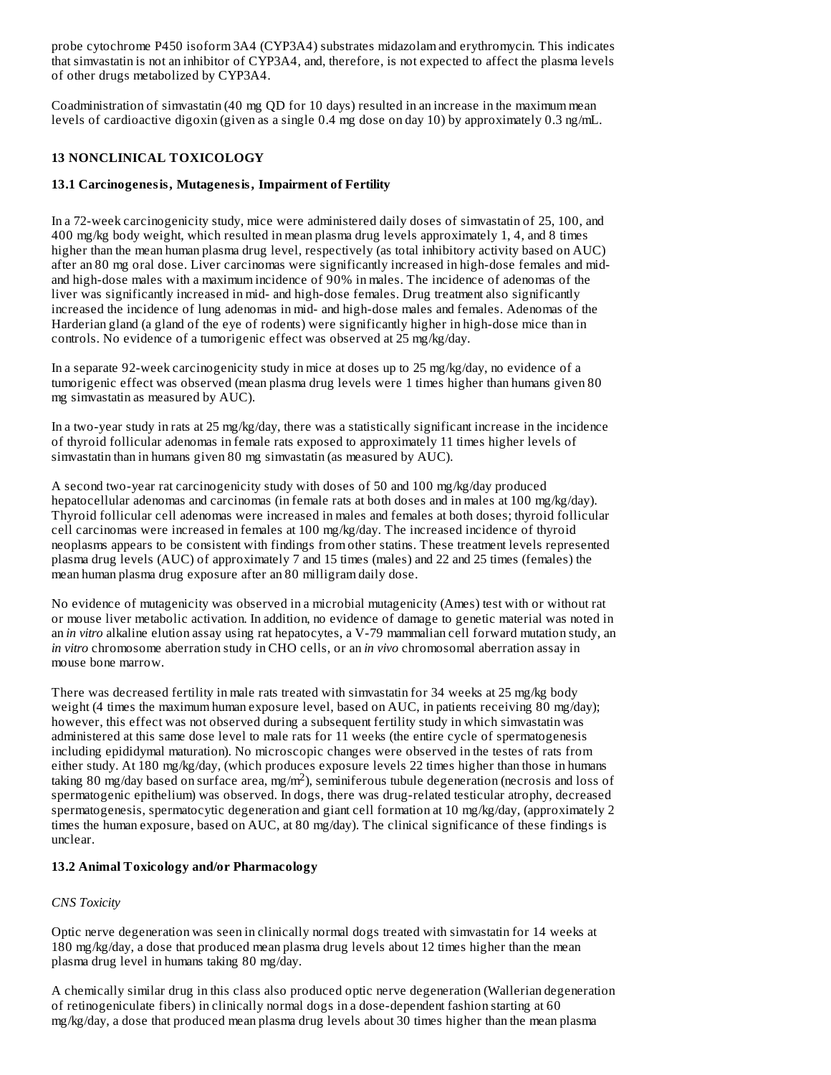probe cytochrome P450 isoform 3A4 (CYP3A4) substrates midazolam and erythromycin. This indicates that simvastatin is not an inhibitor of CYP3A4, and, therefore, is not expected to affect the plasma levels of other drugs metabolized by CYP3A4.

Coadministration of simvastatin (40 mg QD for 10 days) resulted in an increase in the maximum mean levels of cardioactive digoxin (given as a single 0.4 mg dose on day 10) by approximately 0.3 ng/mL.

# **13 NONCLINICAL TOXICOLOGY**

# **13.1 Carcinogenesis, Mutagenesis, Impairment of Fertility**

In a 72-week carcinogenicity study, mice were administered daily doses of simvastatin of 25, 100, and 400 mg/kg body weight, which resulted in mean plasma drug levels approximately 1, 4, and 8 times higher than the mean human plasma drug level, respectively (as total inhibitory activity based on AUC) after an 80 mg oral dose. Liver carcinomas were significantly increased in high-dose females and midand high-dose males with a maximum incidence of 90% in males. The incidence of adenomas of the liver was significantly increased in mid- and high-dose females. Drug treatment also significantly increased the incidence of lung adenomas in mid- and high-dose males and females. Adenomas of the Harderian gland (a gland of the eye of rodents) were significantly higher in high-dose mice than in controls. No evidence of a tumorigenic effect was observed at 25 mg/kg/day.

In a separate 92-week carcinogenicity study in mice at doses up to 25 mg/kg/day, no evidence of a tumorigenic effect was observed (mean plasma drug levels were 1 times higher than humans given 80 mg simvastatin as measured by AUC).

In a two-year study in rats at 25 mg/kg/day, there was a statistically significant increase in the incidence of thyroid follicular adenomas in female rats exposed to approximately 11 times higher levels of simvastatin than in humans given 80 mg simvastatin (as measured by AUC).

A second two-year rat carcinogenicity study with doses of 50 and 100 mg/kg/day produced hepatocellular adenomas and carcinomas (in female rats at both doses and in males at 100 mg/kg/day). Thyroid follicular cell adenomas were increased in males and females at both doses; thyroid follicular cell carcinomas were increased in females at 100 mg/kg/day. The increased incidence of thyroid neoplasms appears to be consistent with findings from other statins. These treatment levels represented plasma drug levels (AUC) of approximately 7 and 15 times (males) and 22 and 25 times (females) the mean human plasma drug exposure after an 80 milligram daily dose.

No evidence of mutagenicity was observed in a microbial mutagenicity (Ames) test with or without rat or mouse liver metabolic activation. In addition, no evidence of damage to genetic material was noted in an *in vitro* alkaline elution assay using rat hepatocytes, a V-79 mammalian cell forward mutation study, an *in vitro* chromosome aberration study in CHO cells, or an *in vivo* chromosomal aberration assay in mouse bone marrow.

There was decreased fertility in male rats treated with simvastatin for 34 weeks at 25 mg/kg body weight (4 times the maximum human exposure level, based on AUC, in patients receiving 80 mg/day); however, this effect was not observed during a subsequent fertility study in which simvastatin was administered at this same dose level to male rats for 11 weeks (the entire cycle of spermatogenesis including epididymal maturation). No microscopic changes were observed in the testes of rats from either study. At 180 mg/kg/day, (which produces exposure levels 22 times higher than those in humans taking 80 mg/day based on surface area, mg/m<sup>2</sup>), seminiferous tubule degeneration (necrosis and loss of spermatogenic epithelium) was observed. In dogs, there was drug-related testicular atrophy, decreased spermatogenesis, spermatocytic degeneration and giant cell formation at 10 mg/kg/day, (approximately 2 times the human exposure, based on AUC, at 80 mg/day). The clinical significance of these findings is unclear.

# **13.2 Animal Toxicology and/or Pharmacology**

# *CNS Toxicity*

Optic nerve degeneration was seen in clinically normal dogs treated with simvastatin for 14 weeks at 180 mg/kg/day, a dose that produced mean plasma drug levels about 12 times higher than the mean plasma drug level in humans taking 80 mg/day.

A chemically similar drug in this class also produced optic nerve degeneration (Wallerian degeneration of retinogeniculate fibers) in clinically normal dogs in a dose-dependent fashion starting at 60 mg/kg/day, a dose that produced mean plasma drug levels about 30 times higher than the mean plasma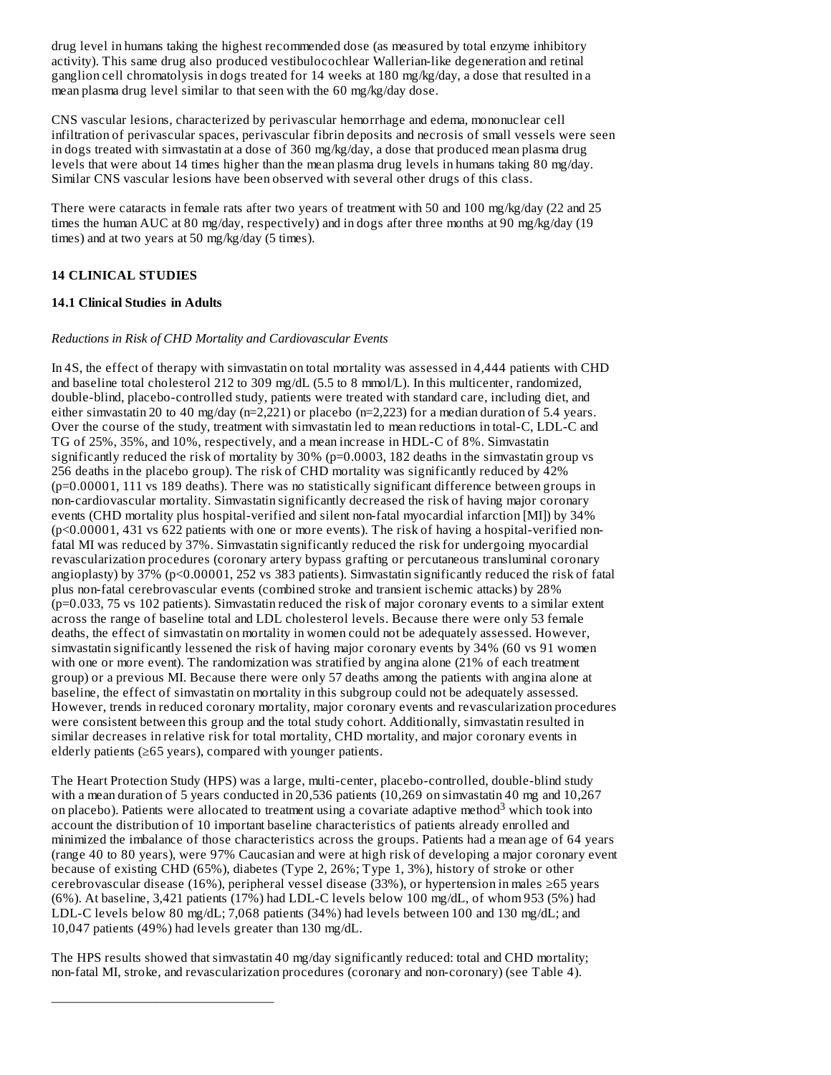drug level in humans taking the highest recommended dose (as measured by total enzyme inhibitory activity). This same drug also produced vestibulocochlear Wallerian-like degeneration and retinal ganglion cell chromatolysis in dogs treated for 14 weeks at 180 mg/kg/day, a dose that resulted in a mean plasma drug level similar to that seen with the 60 mg/kg/day dose.

CNS vascular lesions, characterized by perivascular hemorrhage and edema, mononuclear cell infiltration of perivascular spaces, perivascular fibrin deposits and necrosis of small vessels were seen in dogs treated with simvastatin at a dose of 360 mg/kg/day, a dose that produced mean plasma drug levels that were about 14 times higher than the mean plasma drug levels in humans taking 80 mg/day. Similar CNS vascular lesions have been observed with several other drugs of this class.

There were cataracts in female rats after two years of treatment with 50 and 100 mg/kg/day (22 and 25 times the human AUC at 80 mg/day, respectively) and in dogs after three months at 90 mg/kg/day (19 times) and at two years at 50 mg/kg/day (5 times).

## **14 CLINICAL STUDIES**

#### **14.1 Clinical Studies in Adults**

#### *Reductions in Risk of CHD Mortality and Cardiovascular Events*

In 4S, the effect of therapy with simvastatin on total mortality was assessed in 4,444 patients with CHD and baseline total cholesterol 212 to 309 mg/dL (5.5 to 8 mmol/L). In this multicenter, randomized, double-blind, placebo-controlled study, patients were treated with standard care, including diet, and either simvastatin 20 to 40 mg/day (n=2,221) or placebo (n=2,223) for a median duration of 5.4 years. Over the course of the study, treatment with simvastatin led to mean reductions in total-C, LDL-C and TG of 25%, 35%, and 10%, respectively, and a mean increase in HDL-C of 8%. Simvastatin significantly reduced the risk of mortality by 30% (p=0.0003, 182 deaths in the simvastatin group vs 256 deaths in the placebo group). The risk of CHD mortality was significantly reduced by 42% (p=0.00001, 111 vs 189 deaths). There was no statistically significant difference between groups in non-cardiovascular mortality. Simvastatin significantly decreased the risk of having major coronary events (CHD mortality plus hospital-verified and silent non-fatal myocardial infarction [MI]) by 34% (p<0.00001, 431 vs 622 patients with one or more events). The risk of having a hospital-verified nonfatal MI was reduced by 37%. Simvastatin significantly reduced the risk for undergoing myocardial revascularization procedures (coronary artery bypass grafting or percutaneous transluminal coronary angioplasty) by 37% (p<0.00001, 252 vs 383 patients). Simvastatin significantly reduced the risk of fatal plus non-fatal cerebrovascular events (combined stroke and transient ischemic attacks) by 28% (p=0.033, 75 vs 102 patients). Simvastatin reduced the risk of major coronary events to a similar extent across the range of baseline total and LDL cholesterol levels. Because there were only 53 female deaths, the effect of simvastatin on mortality in women could not be adequately assessed. However, simvastatin significantly lessened the risk of having major coronary events by 34% (60 vs 91 women with one or more event). The randomization was stratified by angina alone (21% of each treatment group) or a previous MI. Because there were only 57 deaths among the patients with angina alone at baseline, the effect of simvastatin on mortality in this subgroup could not be adequately assessed. However, trends in reduced coronary mortality, major coronary events and revascularization procedures were consistent between this group and the total study cohort. Additionally, simvastatin resulted in similar decreases in relative risk for total mortality, CHD mortality, and major coronary events in elderly patients (≥65 years), compared with younger patients.

The Heart Protection Study (HPS) was a large, multi-center, placebo-controlled, double-blind study with a mean duration of 5 years conducted in 20,536 patients (10,269 on simvastatin 40 mg and 10,267 on placebo). Patients were allocated to treatment using a covariate adaptive method<sup>3</sup> which took into account the distribution of 10 important baseline characteristics of patients already enrolled and minimized the imbalance of those characteristics across the groups. Patients had a mean age of 64 years (range 40 to 80 years), were 97% Caucasian and were at high risk of developing a major coronary event because of existing CHD (65%), diabetes (Type 2, 26%; Type 1, 3%), history of stroke or other cerebrovascular disease (16%), peripheral vessel disease (33%), or hypertension in males ≥65 years (6%). At baseline, 3,421 patients (17%) had LDL-C levels below 100 mg/dL, of whom 953 (5%) had LDL-C levels below 80 mg/dL; 7,068 patients (34%) had levels between 100 and 130 mg/dL; and 10,047 patients (49%) had levels greater than 130 mg/dL.

The HPS results showed that simvastatin 40 mg/day significantly reduced: total and CHD mortality; non-fatal MI, stroke, and revascularization procedures (coronary and non-coronary) (see Table 4).

—————————————————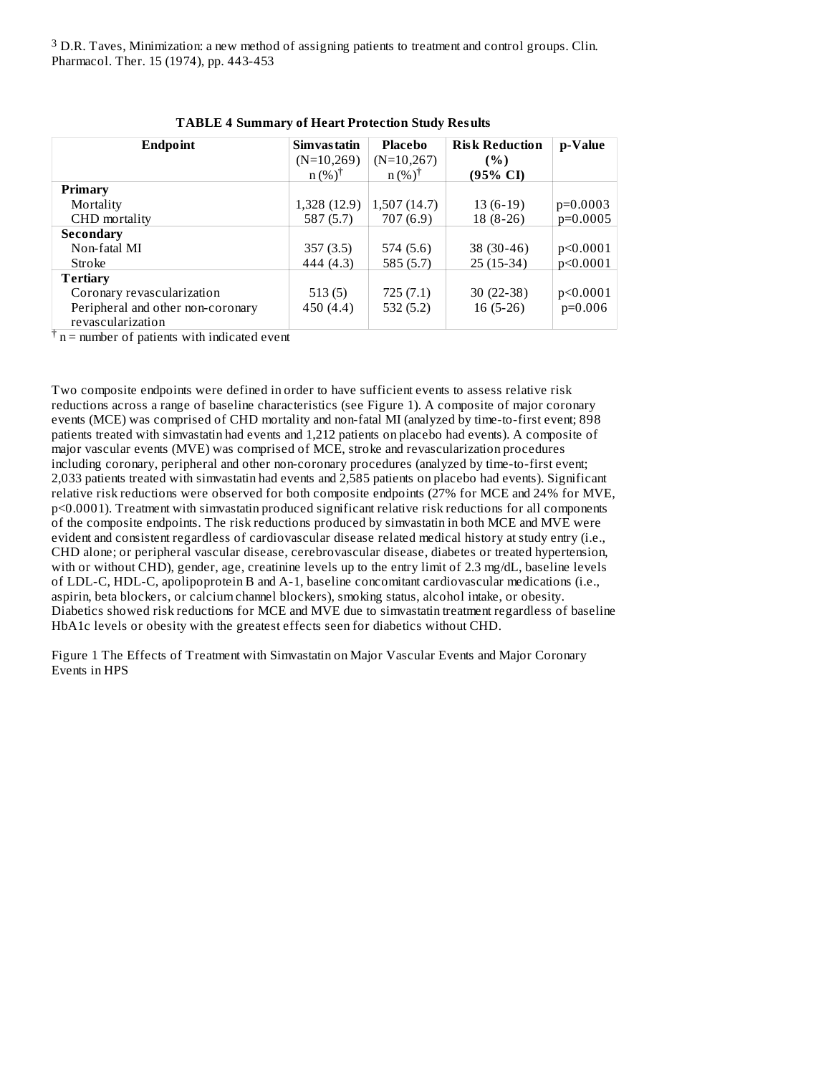$3$  D.R. Taves, Minimization: a new method of assigning patients to treatment and control groups. Clin. Pharmacol. Ther. 15 (1974), pp. 443-453

| Endpoint                          | Simvas tatin      | <b>Placebo</b>    | <b>Risk Reduction</b> | p-Value    |
|-----------------------------------|-------------------|-------------------|-----------------------|------------|
|                                   | $(N=10,269)$      | $(N=10,267)$      | (%)                   |            |
|                                   | $n (%)^{\dagger}$ | $n (%)^{\dagger}$ | (95% CI)              |            |
| Primary                           |                   |                   |                       |            |
| Mortality                         | 1,328 (12.9)      | 1,507(14.7)       | $13(6-19)$            | $p=0.0003$ |
| CHD mortality                     | 587 (5.7)         | 707 (6.9)         | $18(8-26)$            | $p=0.0005$ |
| Secondary                         |                   |                   |                       |            |
| Non-fatal MI                      | 357(3.5)          | 574 (5.6)         | $38(30-46)$           | p<0.0001   |
| Stroke                            | 444 (4.3)         | 585(5.7)          | $25(15-34)$           | p<0.0001   |
| Tertiary                          |                   |                   |                       |            |
| Coronary revascularization        | 513(5)            | 725 (7.1)         | $30(22-38)$           | p<0.0001   |
| Peripheral and other non-coronary | 450 (4.4)         | 532 (5.2)         | $16(5-26)$            | $p=0.006$  |
| revascularization                 |                   |                   |                       |            |

|  | <b>TABLE 4 Summary of Heart Protection Study Results</b> |  |
|--|----------------------------------------------------------|--|
|  |                                                          |  |

 $\dagger$  n = number of patients with indicated event

Two composite endpoints were defined in order to have sufficient events to assess relative risk reductions across a range of baseline characteristics (see Figure 1). A composite of major coronary events (MCE) was comprised of CHD mortality and non-fatal MI (analyzed by time-to-first event; 898 patients treated with simvastatin had events and 1,212 patients on placebo had events). A composite of major vascular events (MVE) was comprised of MCE, stroke and revascularization procedures including coronary, peripheral and other non-coronary procedures (analyzed by time-to-first event; 2,033 patients treated with simvastatin had events and 2,585 patients on placebo had events). Significant relative risk reductions were observed for both composite endpoints (27% for MCE and 24% for MVE, p<0.0001). Treatment with simvastatin produced significant relative risk reductions for all components of the composite endpoints. The risk reductions produced by simvastatin in both MCE and MVE were evident and consistent regardless of cardiovascular disease related medical history at study entry (i.e., CHD alone; or peripheral vascular disease, cerebrovascular disease, diabetes or treated hypertension, with or without CHD), gender, age, creatinine levels up to the entry limit of 2.3 mg/dL, baseline levels of LDL-C, HDL-C, apolipoprotein B and A-1, baseline concomitant cardiovascular medications (i.e., aspirin, beta blockers, or calcium channel blockers), smoking status, alcohol intake, or obesity. Diabetics showed risk reductions for MCE and MVE due to simvastatin treatment regardless of baseline HbA1c levels or obesity with the greatest effects seen for diabetics without CHD.

Figure 1 The Effects of Treatment with Simvastatin on Major Vascular Events and Major Coronary Events in HPS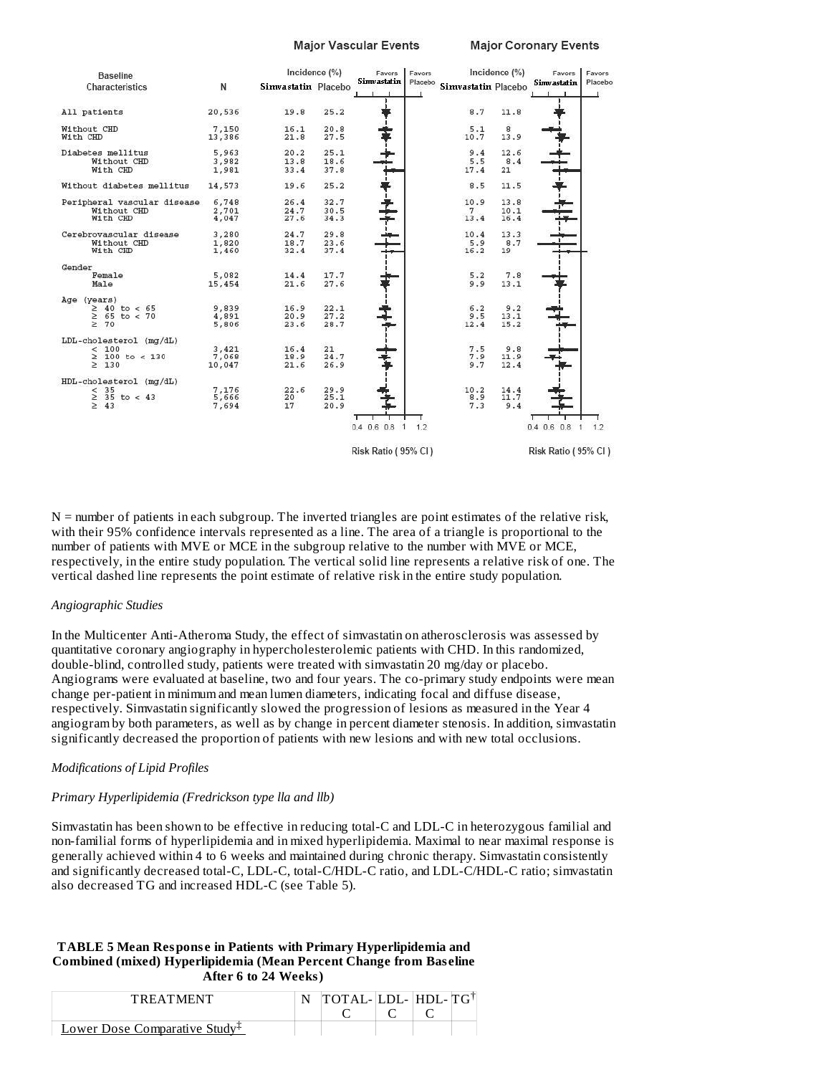**Major Vascular Events** 

| <b>Baseline</b>                                                        |                          |                      | Incidence (%)        | Favors                                                 | Favors |                             | Incidence (%)        | Favors                                    | Favors  |
|------------------------------------------------------------------------|--------------------------|----------------------|----------------------|--------------------------------------------------------|--------|-----------------------------|----------------------|-------------------------------------------|---------|
| Characteristics                                                        | N                        | Simvastatin Placebo  |                      | Simvastatin                                            |        | Placebo Simvastatin Placebo |                      | <b>Simvastatin</b>                        | Placebo |
| All patients                                                           | 20,536                   | 19.8                 | 25.2                 |                                                        |        | 8.7                         | 11.8                 |                                           |         |
| Without CHD<br>With CHD                                                | 7,150<br>13,386          | 16.1<br>21.8         | 20.8<br>27.5         |                                                        |        | 5.1<br>10.7                 | 8<br>13.9            |                                           |         |
| Diabetes mellitus<br>Without CHD<br>With CHD                           | 5,963<br>3,982<br>1,981  | 20.2<br>13.8<br>33.4 | 25.1<br>18.6<br>37.8 |                                                        |        | 9.4<br>5.5<br>17.4          | 12.6<br>8.4<br>21    |                                           |         |
| Without diabetes mellitus                                              | 14,573                   | 19.6                 | 25.2                 |                                                        |        | 8.5                         | 11.5                 |                                           |         |
| Peripheral vascular disease 6,748<br>Without CHD<br>With CHD           | 2,701<br>4,047           | 26.4<br>24.7<br>27.6 | 32.7<br>30.5<br>34.3 |                                                        |        | 10.9<br>$7^{\circ}$<br>13.4 | 13.8<br>10.1<br>16.4 |                                           |         |
| Cerebrovascular disease<br>Without CHD<br>With CHD                     | 3,280<br>1,820<br>1,460  | 24.7<br>18.7<br>32.4 | 29.8<br>23.6<br>37.4 |                                                        |        | 10.4<br>5.9<br>16.2         | 13.3<br>8.7<br>19    |                                           |         |
| Gender<br>Female<br>Male                                               | 5,082<br>15,454          | 14.4<br>21.6         | 17.7<br>27.6         |                                                        |        | 5.2<br>9.9                  | 7.8<br>13.1          |                                           |         |
| Age (years)<br>$\geq 40$ to < 65<br>$\geq 65$ to < 70<br>$\geq 70$     | 9,839<br>4,891<br>5,806  | 16.9<br>20.9<br>23.6 | 22.1<br>27.2<br>28.7 |                                                        |        | 6.2<br>9.5<br>12.4          | 9.2<br>13.1<br>15.2  |                                           |         |
| LDL-cholesterol (mg/dL)<br>< 100<br>$\geq 100$ to < 130<br>$\geq$ 130  | 3.421<br>7,068<br>10,047 | 16.4<br>18.9<br>21.6 | 21<br>24.7<br>26.9   |                                                        |        | 7.5<br>7.9<br>9.7           | 9.8<br>11.9<br>12.4  |                                           |         |
| HDL-cholesterol (mg/dL)<br>$\leq$ 35<br>$\geq$ 35 to < 43<br>$\geq 43$ | 7,176<br>5,666<br>7,694  | 22.6<br>20<br>17     | 29.9<br>25.1<br>20.9 |                                                        |        | 10.2<br>8.9<br>7.3          | 14.4<br>11.7<br>9.4  |                                           |         |
|                                                                        |                          |                      |                      | $0.4$ 0.6 0.8<br>$\overline{1}$<br>Risk Ratio (95% CI) | 1.2    |                             |                      | $0.4$ 0.6 0.8<br>1<br>Risk Ratio (95% CI) | 1.2     |

 $N =$  number of patients in each subgroup. The inverted triangles are point estimates of the relative risk, with their 95% confidence intervals represented as a line. The area of a triangle is proportional to the number of patients with MVE or MCE in the subgroup relative to the number with MVE or MCE, respectively, in the entire study population. The vertical solid line represents a relative risk of one. The vertical dashed line represents the point estimate of relative risk in the entire study population.

#### *Angiographic Studies*

In the Multicenter Anti-Atheroma Study, the effect of simvastatin on atherosclerosis was assessed by quantitative coronary angiography in hypercholesterolemic patients with CHD. In this randomized, double-blind, controlled study, patients were treated with simvastatin 20 mg/day or placebo. Angiograms were evaluated at baseline, two and four years. The co-primary study endpoints were mean change per-patient in minimum and mean lumen diameters, indicating focal and diffuse disease, respectively. Simvastatin significantly slowed the progression of lesions as measured in the Year 4 angiogram by both parameters, as well as by change in percent diameter stenosis. In addition, simvastatin significantly decreased the proportion of patients with new lesions and with new total occlusions.

#### *Modifications of Lipid Profiles*

#### *Primary Hyperlipidemia (Fredrickson type lla and llb)*

Simvastatin has been shown to be effective in reducing total-C and LDL-C in heterozygous familial and non-familial forms of hyperlipidemia and in mixed hyperlipidemia. Maximal to near maximal response is generally achieved within 4 to 6 weeks and maintained during chronic therapy. Simvastatin consistently and significantly decreased total-C, LDL-C, total-C/HDL-C ratio, and LDL-C/HDL-C ratio; simvastatin also decreased TG and increased HDL-C (see Table 5).

#### **TABLE 5 Mean Respons e in Patients with Primary Hyperlipidemia and Combined (mixed) Hyperlipidemia (Mean Percent Change from Bas eline After 6 to 24 Weeks)**

| <b>TREATMENT</b>                          | $\text{TOTAL-LDL-}\text{HDL-}\text{TG}$ |  |  |
|-------------------------------------------|-----------------------------------------|--|--|
|                                           |                                         |  |  |
| Lower Dose Comparative Study <sup>T</sup> |                                         |  |  |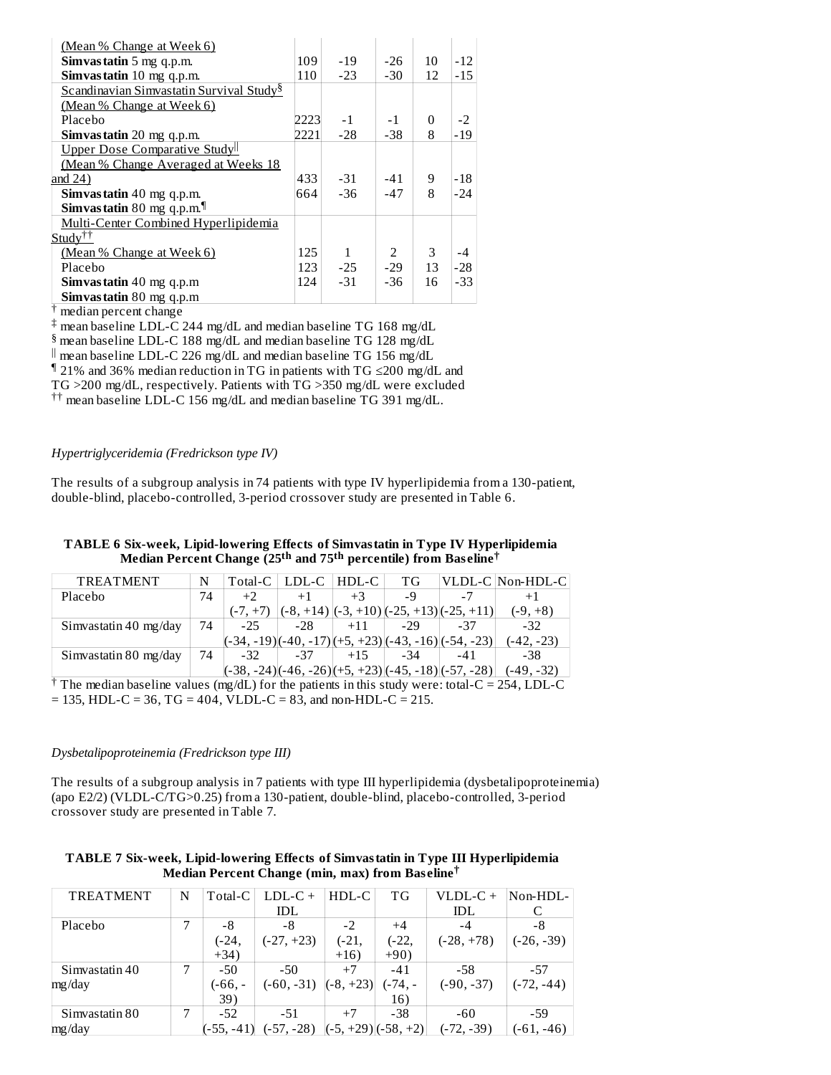| (Mean % Change at Week 6)                                  |      |       |               |    |       |
|------------------------------------------------------------|------|-------|---------------|----|-------|
| <b>Simvastatin</b> 5 mg q.p.m.                             | 109  | $-19$ | -26           | 10 | $-12$ |
| Simvastatin 10 mg q.p.m.                                   | 110  | $-23$ | $-30$         | 12 | $-15$ |
| Scandinavian Simvastatin Survival Study <sup>§</sup>       |      |       |               |    |       |
| (Mean % Change at Week 6)                                  |      |       |               |    |       |
| Placebo                                                    | 2223 | $-1$  | $-1$          | 0  | $-2$  |
| Simvastatin 20 mg q.p.m.                                   | 2221 | $-28$ | -38           | 8  | $-19$ |
| Upper Dose Comparative Studyll                             |      |       |               |    |       |
| (Mean % Change Averaged at Weeks 18                        |      |       |               |    |       |
| and $24)$                                                  | 4331 | -31   | $-41$         | 9  | -18   |
| Simvastatin 40 mg q.p.m.                                   |      | $-36$ | $-47$         | 8  | $-24$ |
| <b>Simvastatin</b> 80 mg q.p.m. <sup><math>\P</math></sup> |      |       |               |    |       |
| Multi-Center Combined Hyperlipidemia                       |      |       |               |    |       |
| Study <sup>††</sup>                                        |      |       |               |    |       |
| (Mean % Change at Week 6)                                  | 125  | 1     | $\mathcal{P}$ | 3  | $-4$  |
| Placebo                                                    | 123  | $-25$ | $-29$         | 13 | $-28$ |
| Simvastatin 40 mg q.p.m                                    | 124  | $-31$ | -36           | 16 | $-33$ |
| Simvastatin 80 mg q.p.m                                    |      |       |               |    |       |

<sup>†</sup> median percent change

 $\ddagger$  mean baseline LDL-C 244 mg/dL and median baseline TG 168 mg/dL

 $\frac{1}{2}$  mean baseline LDL-C 188 mg/dL and median baseline TG 128 mg/dL

 $\parallel$  mean baseline LDL-C 226 mg/dL and median baseline TG 156 mg/dL

21% and 36% median reduction in TG in patients with TG ≤200 mg/dL and ¶

TG >200 mg/dL, respectively. Patients with TG >350 mg/dL were excluded

 $^{\dagger\dagger}$  mean baseline LDL-C 156 mg/dL and median baseline TG 391 mg/dL.

*Hypertriglyceridemia (Fredrickson type IV)*

The results of a subgroup analysis in 74 patients with type IV hyperlipidemia from a 130-patient, double-blind, placebo-controlled, 3-period crossover study are presented in Table 6.

| TABLE 6 Six-week, Lipid-lowering Effects of Simvastatin in Type IV Hyperlipidemia                   |
|-----------------------------------------------------------------------------------------------------|
| Median Percent Change (25 <sup>th</sup> and 75 <sup>th</sup> percentile) from Baseline <sup>†</sup> |

| TREATMENT             | N  | Total-C    | LDL-C     | HDL-C | ТG    |                                                                                                     | VLDL-C Non-HDL-C |
|-----------------------|----|------------|-----------|-------|-------|-----------------------------------------------------------------------------------------------------|------------------|
| Placebo               | 74 | $+2$       | $+1$      | $+3$  | -9    | -7                                                                                                  |                  |
|                       |    | $(-7, +7)$ | (-8. +14` |       |       | $\left[\frac{1}{2}, +10\right]$ $\left[\frac{25}{12}, +13\right]$ $\left[\frac{25}{12}, +11\right]$ | $(-9, +8)$       |
| Simvastatin 40 mg/day | 74 | $-25$      | $-28$     | $+11$ | $-29$ | -37                                                                                                 | $-32$            |
|                       |    |            |           |       |       | $(-34, -19)(-40, -17)(+5, +23)(-43, -16)(-54, -23)$                                                 | (-42, -23)       |
| Simvastatin 80 mg/day | 74 | -32        | -37       | $+15$ | -34   | $-41$                                                                                               | -38              |
|                       |    |            |           |       |       | $(-38, -24)(-46, -26)(+5, +23)(-45, -18)(-57, -28)$                                                 | $(-49, -32)$     |

 $\dagger$  The median baseline values (mg/dL) for the patients in this study were: total-C = 254, LDL-C  $= 135$ , HDL-C = 36, TG = 404, VLDL-C = 83, and non-HDL-C = 215.

#### *Dysbetalipoproteinemia (Fredrickson type III)*

The results of a subgroup analysis in 7 patients with type III hyperlipidemia (dysbetalipoproteinemia) (apo E2/2) (VLDL-C/TG>0.25) from a 130-patient, double-blind, placebo-controlled, 3-period crossover study are presented in Table 7.

| TABLE 7 Six-week, Lipid-lowering Effects of Simvastatin in Type III Hyperlipidemia |
|------------------------------------------------------------------------------------|
| Median Percent Change (min, max) from Baseline <sup>T</sup>                        |

| <b>TREATMENT</b> | N | Total-C      | $LDL-C +$    | $HDL-C$     | ТG                   | VLDL-C +     | Non-HDL-     |
|------------------|---|--------------|--------------|-------------|----------------------|--------------|--------------|
|                  |   |              | IDL          |             |                      | IDL          | C            |
| Placebo          | 7 | -8           | -8           | $-2$        | $+4$                 | -4           | -8           |
|                  |   | (-24,        | $(-27, +23)$ | $(-21,$     | $(-22,$              | $(-28, +78)$ | $(-26, -39)$ |
|                  |   | $+34)$       |              | $+16)$      | $+90)$               |              |              |
| Simvastatin 40   | 7 | $-50$        | $-50$        | $+7$        | $-41$                | -58          | $-57$        |
| mg/day           |   | (-66, -      | $(-60, -31)$ | $(-8, +23)$ | (-74, -              | $(-90, -37)$ | $(-72, -44)$ |
|                  |   | 39)          |              |             | 16)                  |              |              |
| Simvastatin 80   | 7 | $-52$        | $-51$        | $+7$        | $-38$                | -60          | -59          |
| mg/day           |   | $(-55, -41)$ | $(-57, -28)$ |             | $(-5, +29)(-58, +2)$ | $(-72, -39)$ | (-61. -46)   |
|                  |   |              |              |             |                      |              |              |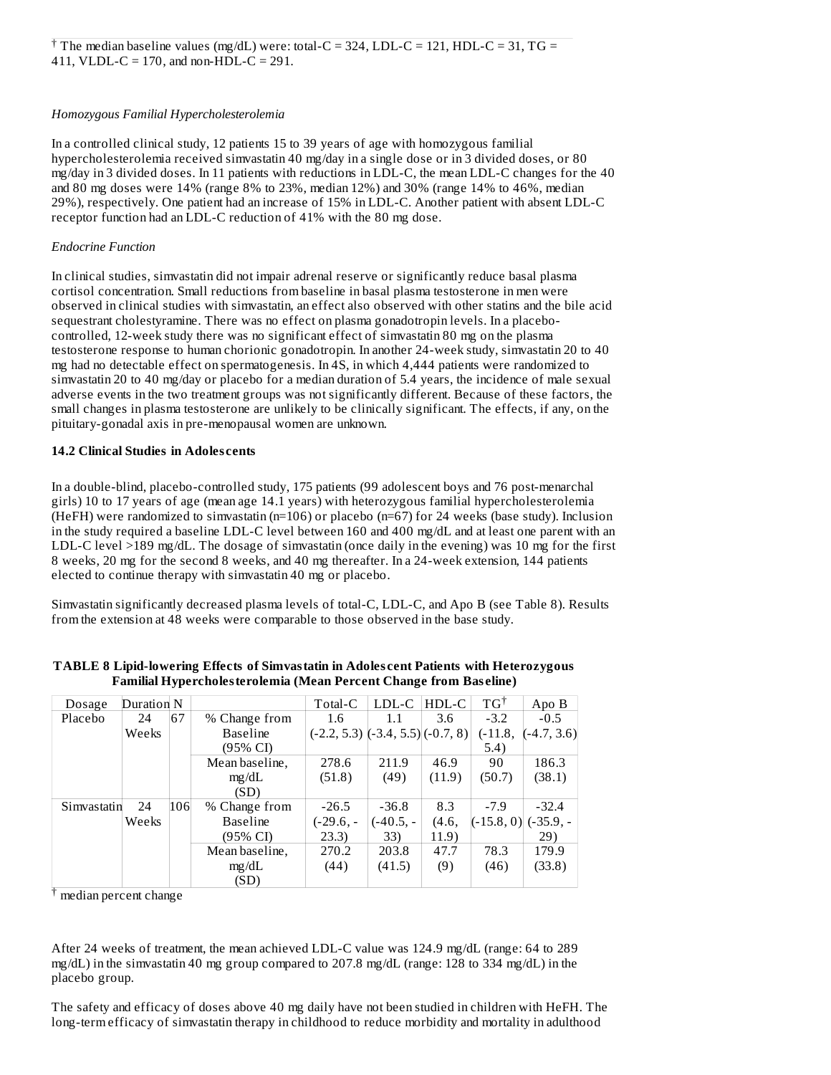#### *Homozygous Familial Hypercholesterolemia*

In a controlled clinical study, 12 patients 15 to 39 years of age with homozygous familial hypercholesterolemia received simvastatin 40 mg/day in a single dose or in 3 divided doses, or 80 mg/day in 3 divided doses. In 11 patients with reductions in LDL-C, the mean LDL-C changes for the 40 and 80 mg doses were 14% (range 8% to 23%, median 12%) and 30% (range 14% to 46%, median 29%), respectively. One patient had an increase of 15% in LDL-C. Another patient with absent LDL-C receptor function had an LDL-C reduction of 41% with the 80 mg dose.

## *Endocrine Function*

In clinical studies, simvastatin did not impair adrenal reserve or significantly reduce basal plasma cortisol concentration. Small reductions from baseline in basal plasma testosterone in men were observed in clinical studies with simvastatin, an effect also observed with other statins and the bile acid sequestrant cholestyramine. There was no effect on plasma gonadotropin levels. In a placebocontrolled, 12-week study there was no significant effect of simvastatin 80 mg on the plasma testosterone response to human chorionic gonadotropin. In another 24-week study, simvastatin 20 to 40 mg had no detectable effect on spermatogenesis. In 4S, in which 4,444 patients were randomized to simvastatin 20 to 40 mg/day or placebo for a median duration of 5.4 years, the incidence of male sexual adverse events in the two treatment groups was not significantly different. Because of these factors, the small changes in plasma testosterone are unlikely to be clinically significant. The effects, if any, on the pituitary-gonadal axis in pre-menopausal women are unknown.

## **14.2 Clinical Studies in Adoles cents**

In a double-blind, placebo-controlled study, 175 patients (99 adolescent boys and 76 post-menarchal girls) 10 to 17 years of age (mean age 14.1 years) with heterozygous familial hypercholesterolemia (HeFH) were randomized to simvastatin (n=106) or placebo (n=67) for 24 weeks (base study). Inclusion in the study required a baseline LDL-C level between 160 and 400 mg/dL and at least one parent with an LDL-C level >189 mg/dL. The dosage of simvastatin (once daily in the evening) was 10 mg for the first 8 weeks, 20 mg for the second 8 weeks, and 40 mg thereafter. In a 24-week extension, 144 patients elected to continue therapy with simvastatin 40 mg or placebo.

Simvastatin significantly decreased plasma levels of total-C, LDL-C, and Apo B (see Table 8). Results from the extension at 48 weeks were comparable to those observed in the base study.

| Dosage      | Duration N |     |                 | Total-C                                 | LDL-C     | HDL-C  | $TG^{\dagger}$ | Apo B         |
|-------------|------------|-----|-----------------|-----------------------------------------|-----------|--------|----------------|---------------|
| Placebo     | 24         | 67  | % Change from   | 1.6                                     | 1.1       | 3.6    | $-3.2$         | $-0.5$        |
|             | Weeks      |     | <b>Baseline</b> | $(-2.2, 5.3)$ $(-3.4, 5.5)$ $(-0.7, 8)$ |           |        | $(-11.8,$      | $(-4.7, 3.6)$ |
|             |            |     | (95% CI)        |                                         |           |        | 5.4)           |               |
|             |            |     | Mean baseline,  | 278.6                                   | 211.9     | 46.9   | 90             | 186.3         |
|             |            |     | mg/dL           | (51.8)                                  | (49)      | (11.9) | (50.7)         | (38.1)        |
|             |            |     | (SD)            |                                         |           |        |                |               |
| Simvastatin | 24         | 106 | % Change from   | $-26.5$                                 | $-36.8$   | 8.3    | $-7.9$         | $-32.4$       |
|             | Weeks      |     | <b>Baseline</b> | $(-29.6, -$                             | (-40.5, - | (4.6,  | $(-15.8, 0)$   | $(-35.9, -$   |
|             |            |     | (95% CI)        | 23.3)                                   | 33)       | 11.9)  |                | 29)           |
|             |            |     | Mean baseline,  | 270.2                                   | 203.8     | 47.7   | 78.3           | 179.9         |
|             |            |     | mg/dL           | (44)                                    | (41.5)    | (9)    | (46)           | (33.8)        |
|             |            |     | (SD)            |                                         |           |        |                |               |

**TABLE 8 Lipid-lowering Effects of Simvastatin in Adoles cent Patients with Heterozygous Familial Hypercholesterolemia (Mean Percent Change from Bas eline)**

<sup>†</sup> median percent change

After 24 weeks of treatment, the mean achieved LDL-C value was 124.9 mg/dL (range: 64 to 289 mg/dL) in the simvastatin 40 mg group compared to 207.8 mg/dL (range: 128 to 334 mg/dL) in the placebo group.

The safety and efficacy of doses above 40 mg daily have not been studied in children with HeFH. The long-term efficacy of simvastatin therapy in childhood to reduce morbidity and mortality in adulthood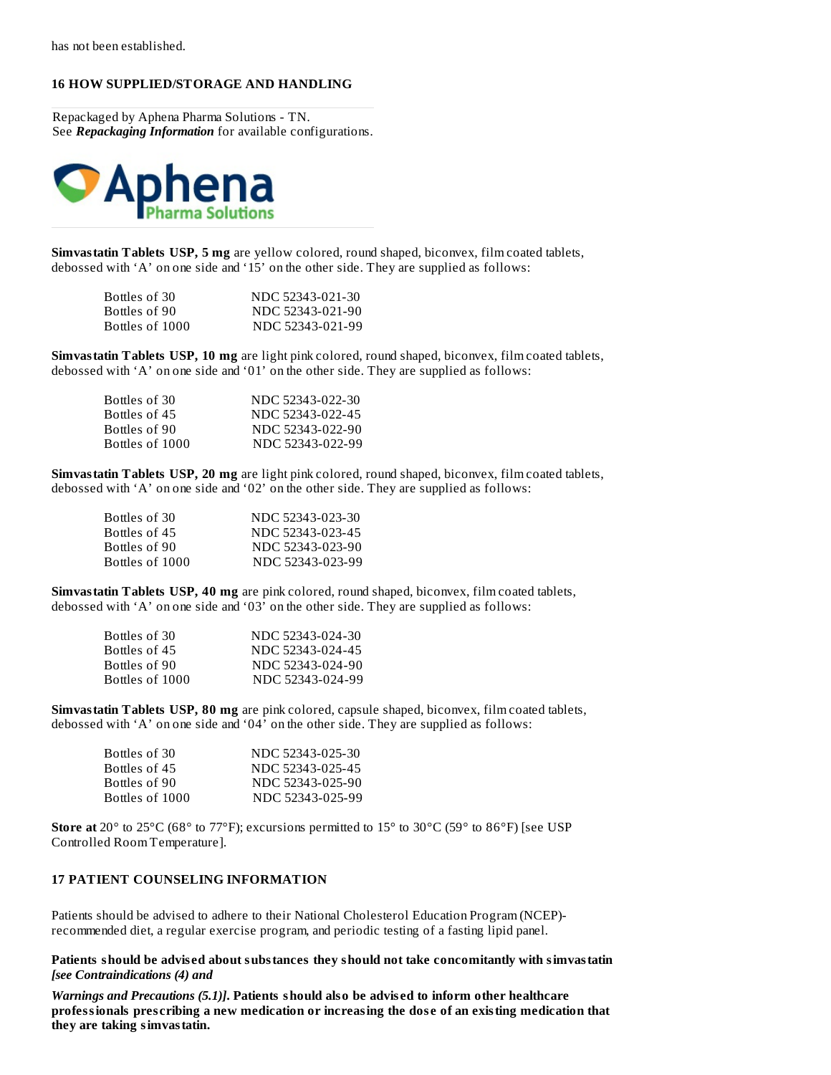## **16 HOW SUPPLIED/STORAGE AND HANDLING**

Repackaged by Aphena Pharma Solutions - TN. See *Repackaging Information* for available configurations.



**Simvastatin Tablets USP, 5 mg** are yellow colored, round shaped, biconvex, film coated tablets, debossed with 'A' on one side and '15' on the other side. They are supplied as follows:

| Bottles of 30-  | NDC 52343-021-30 |
|-----------------|------------------|
| Bottles of 90-  | NDC 52343-021-90 |
| Bottles of 1000 | NDC 52343-021-99 |

**Simvastatin Tablets USP, 10 mg** are light pink colored, round shaped, biconvex, film coated tablets, debossed with 'A' on one side and '01' on the other side. They are supplied as follows:

| NDC 52343-022-30 |
|------------------|
| NDC 52343-022-45 |
| NDC 52343-022-90 |
| NDC 52343-022-99 |
|                  |

**Simvastatin Tablets USP, 20 mg** are light pink colored, round shaped, biconvex, film coated tablets, debossed with 'A' on one side and '02' on the other side. They are supplied as follows:

| NDC 52343-023-30 |
|------------------|
| NDC 52343-023-45 |
| NDC 52343-023-90 |
| NDC 52343-023-99 |
|                  |

**Simvastatin Tablets USP, 40 mg** are pink colored, round shaped, biconvex, film coated tablets, debossed with 'A' on one side and '03' on the other side. They are supplied as follows:

| Bottles of 30   | NDC 52343-024-30 |
|-----------------|------------------|
| Bottles of 45   | NDC 52343-024-45 |
| Bottles of 90   | NDC 52343-024-90 |
| Bottles of 1000 | NDC 52343-024-99 |

**Simvastatin Tablets USP, 80 mg** are pink colored, capsule shaped, biconvex, film coated tablets, debossed with 'A' on one side and '04' on the other side. They are supplied as follows:

| Bottles of 30.  | NDC 52343-025-30 |
|-----------------|------------------|
| Bottles of 45   | NDC 52343-025-45 |
| Bottles of 90-  | NDC 52343-025-90 |
| Bottles of 1000 | NDC 52343-025-99 |

**Store at** 20° to 25°C (68° to 77°F); excursions permitted to 15° to 30°C (59° to 86°F) [see USP Controlled Room Temperature].

#### **17 PATIENT COUNSELING INFORMATION**

Patients should be advised to adhere to their National Cholesterol Education Program (NCEP) recommended diet, a regular exercise program, and periodic testing of a fasting lipid panel.

**Patients should be advis ed about substances they should not take concomitantly with simvastatin** *[see Contraindications (4) and*

*Warnings and Precautions (5.1)]***. Patients should also be advis ed to inform other healthcare professionals pres cribing a new medication or increasing the dos e of an existing medication that they are taking simvastatin.**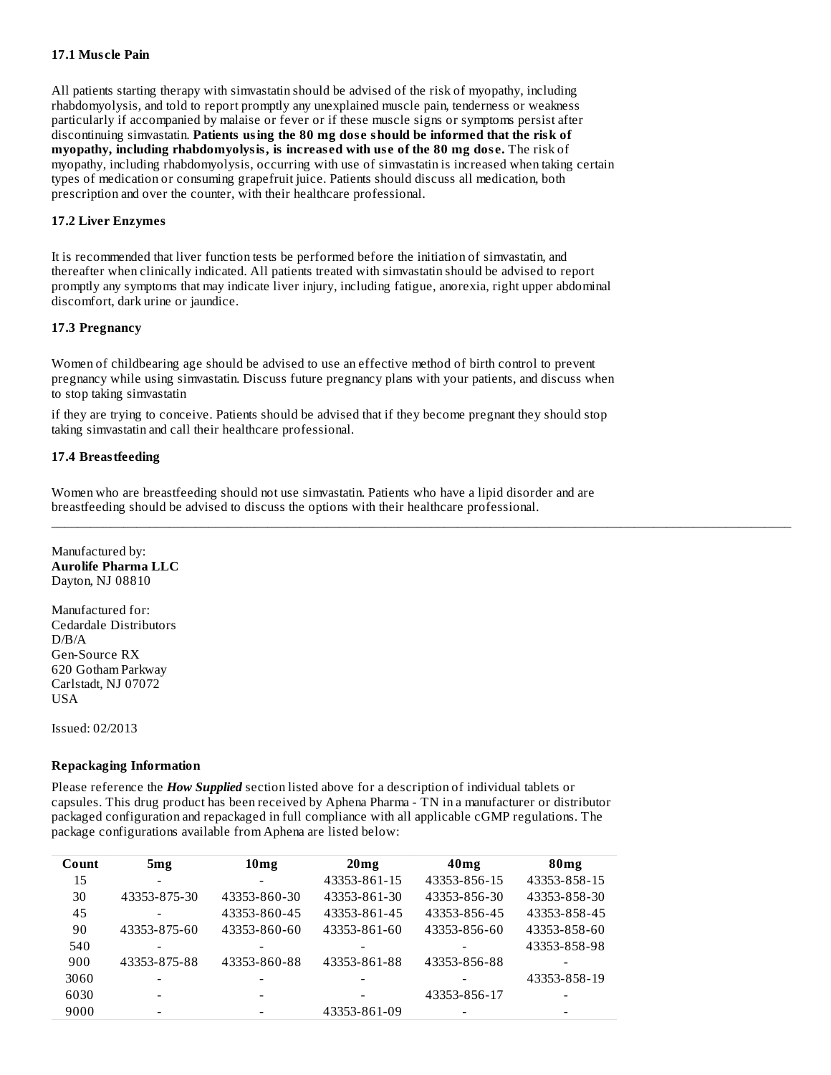## **17.1 Mus cle Pain**

All patients starting therapy with simvastatin should be advised of the risk of myopathy, including rhabdomyolysis, and told to report promptly any unexplained muscle pain, tenderness or weakness particularly if accompanied by malaise or fever or if these muscle signs or symptoms persist after discontinuing simvastatin. **Patients using the 80 mg dos e should be informed that the risk of myopathy, including rhabdomyolysis, is increas ed with us e of the 80 mg dos e.** The risk of myopathy, including rhabdomyolysis, occurring with use of simvastatin is increased when taking certain types of medication or consuming grapefruit juice. Patients should discuss all medication, both prescription and over the counter, with their healthcare professional.

## **17.2 Liver Enzymes**

It is recommended that liver function tests be performed before the initiation of simvastatin, and thereafter when clinically indicated. All patients treated with simvastatin should be advised to report promptly any symptoms that may indicate liver injury, including fatigue, anorexia, right upper abdominal discomfort, dark urine or jaundice.

## **17.3 Pregnancy**

Women of childbearing age should be advised to use an effective method of birth control to prevent pregnancy while using simvastatin. Discuss future pregnancy plans with your patients, and discuss when to stop taking simvastatin

if they are trying to conceive. Patients should be advised that if they become pregnant they should stop taking simvastatin and call their healthcare professional.

## **17.4 Breastfeeding**

Women who are breastfeeding should not use simvastatin. Patients who have a lipid disorder and are breastfeeding should be advised to discuss the options with their healthcare professional.

\_\_\_\_\_\_\_\_\_\_\_\_\_\_\_\_\_\_\_\_\_\_\_\_\_\_\_\_\_\_\_\_\_\_\_\_\_\_\_\_\_\_\_\_\_\_\_\_\_\_\_\_\_\_\_\_\_\_\_\_\_\_\_\_\_\_\_\_\_\_\_\_\_\_\_\_\_\_\_\_\_\_\_\_\_\_\_\_\_\_\_\_\_\_\_\_\_\_\_\_\_\_\_\_\_\_\_\_\_\_\_\_\_

Manufactured by: **Aurolife Pharma LLC** Dayton, NJ 08810

Manufactured for: Cedardale Distributors  $D/R/A$ Gen-Source RX 620 Gotham Parkway Carlstadt, NJ 07072 USA

Issued: 02/2013

#### **Repackaging Information**

Please reference the *How Supplied* section listed above for a description of individual tablets or capsules. This drug product has been received by Aphena Pharma - TN in a manufacturer or distributor packaged configuration and repackaged in full compliance with all applicable cGMP regulations. The package configurations available from Aphena are listed below:

| Count | 5 <sub>mg</sub> | 10 <sub>mg</sub> | 20 <sub>mg</sub> | 40 <sub>mg</sub>         | 80 <sub>mg</sub> |
|-------|-----------------|------------------|------------------|--------------------------|------------------|
| 15    |                 |                  | 43353-861-15     | 43353-856-15             | 43353-858-15     |
| 30    | 43353-875-30    | 43353-860-30     | 43353-861-30     | 43353-856-30             | 43353-858-30     |
| 45    |                 | 43353-860-45     | 43353-861-45     | 43353-856-45             | 43353-858-45     |
| 90    | 43353-875-60    | 43353-860-60     | 43353-861-60     | 43353-856-60             | 43353-858-60     |
| 540   |                 |                  |                  |                          | 43353-858-98     |
| 900   | 43353-875-88    | 43353-860-88     | 43353-861-88     | 43353-856-88             |                  |
| 3060  |                 |                  |                  |                          | 43353-858-19     |
| 6030  |                 | -                |                  | 43353-856-17             |                  |
| 9000  |                 |                  | 43353-861-09     | $\overline{\phantom{a}}$ |                  |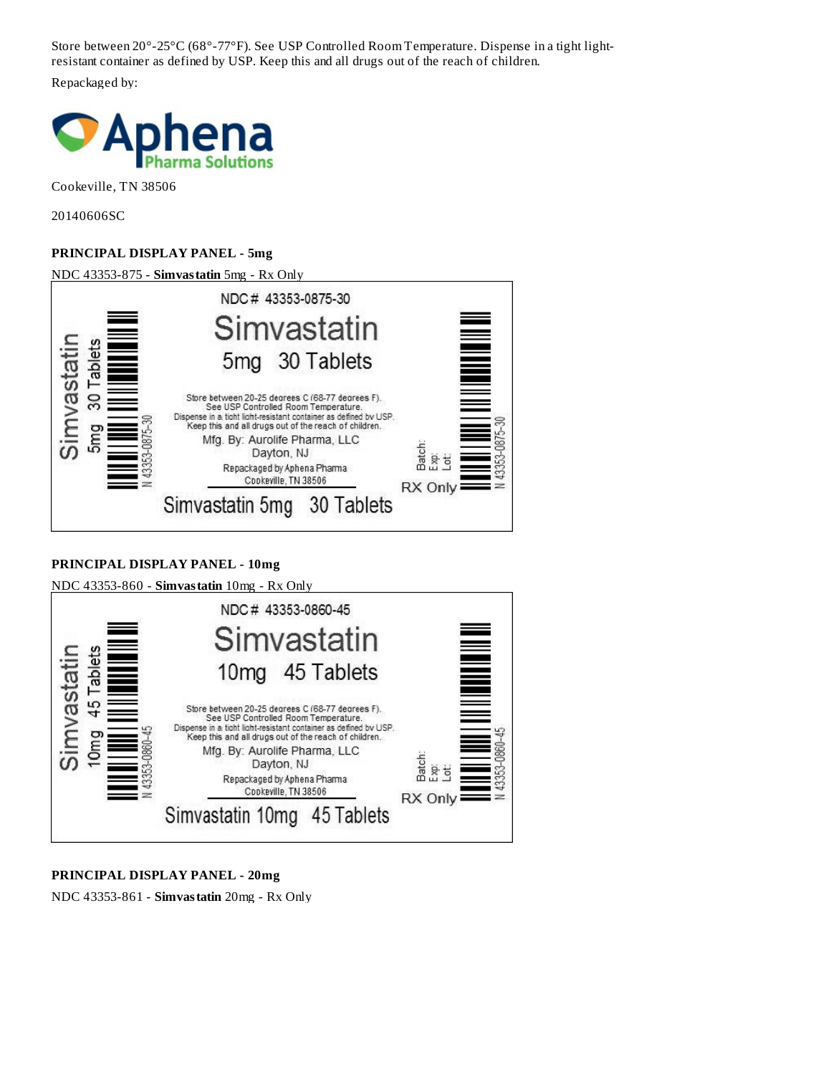Store between 20°-25°C (68°-77°F). See USP Controlled Room Temperature. Dispense in a tight lightresistant container as defined by USP. Keep this and all drugs out of the reach of children.

Repackaged by:



Cookeville, TN 38506

20140606SC

# **PRINCIPAL DISPLAY PANEL - 5mg**

NDC 43353-875 - **Simvastatin** 5mg - Rx Only



# **PRINCIPAL DISPLAY PANEL - 10mg**



# **PRINCIPAL DISPLAY PANEL - 20mg**

NDC 43353-861 - **Simvastatin** 20mg - Rx Only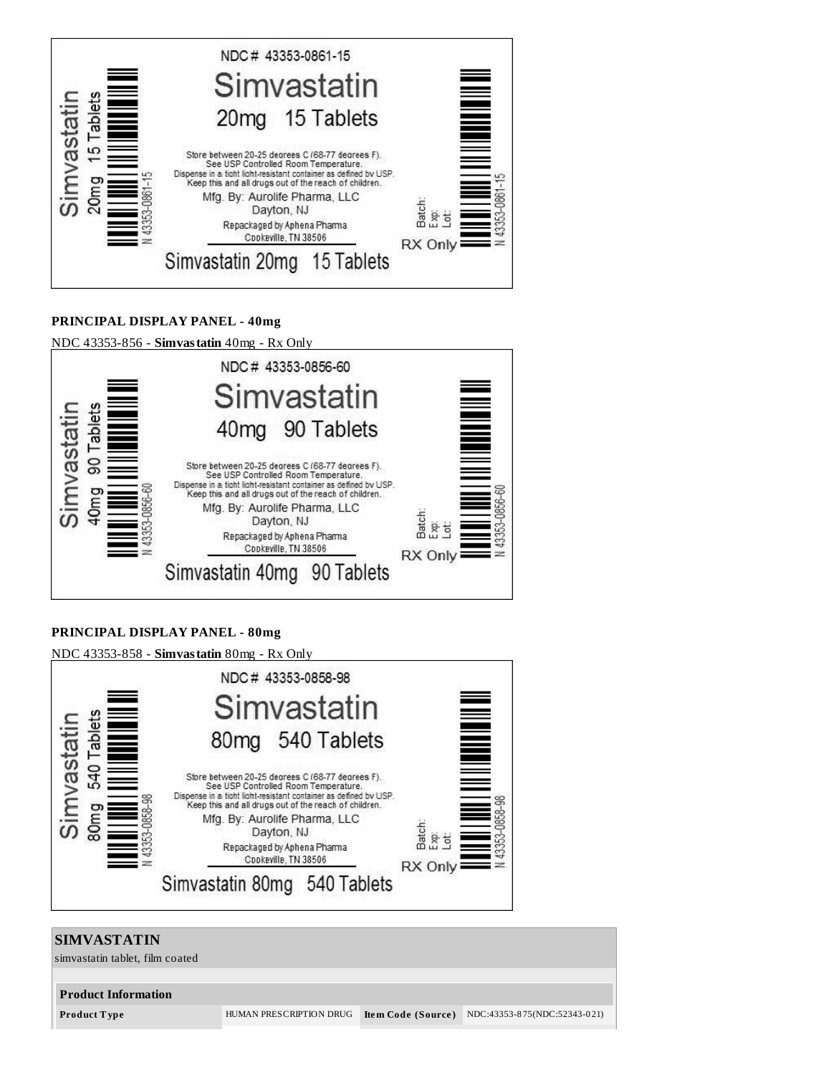

# **PRINCIPAL DISPLAY PANEL - 40mg**

NDC 43353-856 - **Simvastatin** 40mg - Rx Only



# **PRINCIPAL DISPLAY PANEL - 80mg**



# **SIMVASTATIN** simvastatin tablet, film coated **Product Information Product T ype** HUMAN PRESCRIPTION DRUG **Ite m Code (Source )** NDC:43353-8 75(NDC:52343-0 21)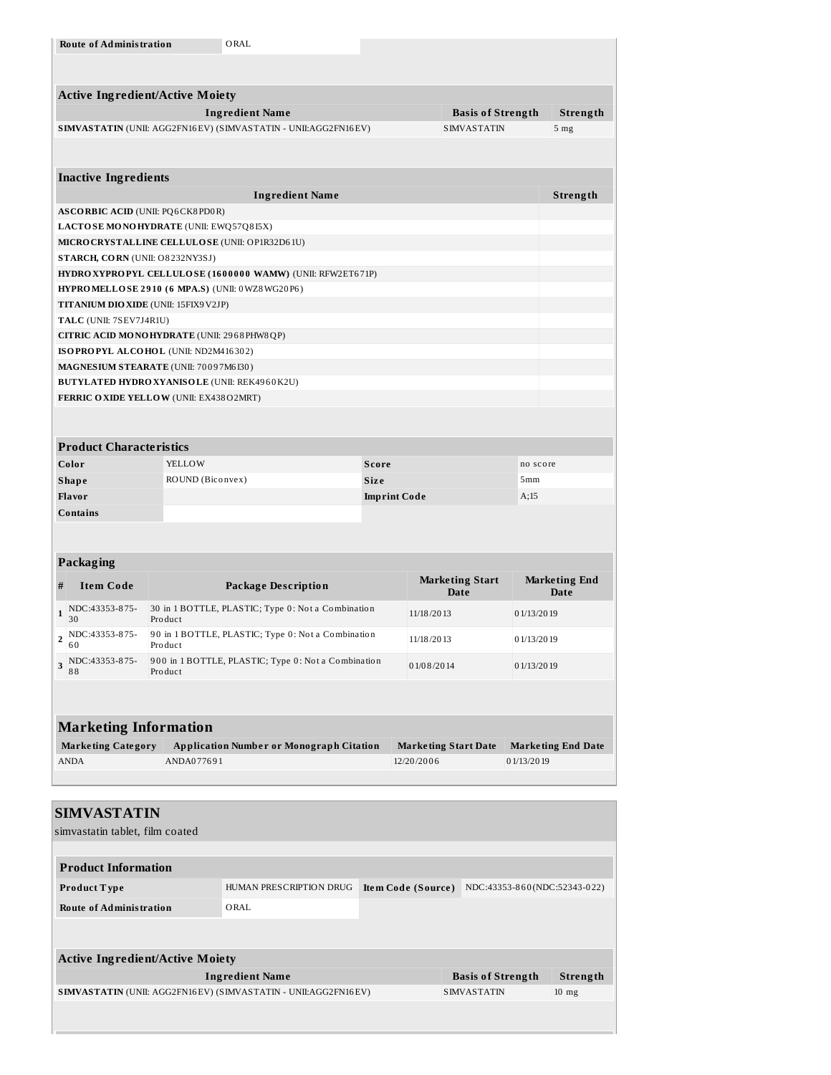|                                        | <b>Route of Administration</b>                                                     |                  | ORAL                                                            |                     |                                                        |                          |            |                              |
|----------------------------------------|------------------------------------------------------------------------------------|------------------|-----------------------------------------------------------------|---------------------|--------------------------------------------------------|--------------------------|------------|------------------------------|
|                                        |                                                                                    |                  |                                                                 |                     |                                                        |                          |            |                              |
|                                        |                                                                                    |                  |                                                                 |                     |                                                        |                          |            |                              |
| <b>Active Ingredient/Active Moiety</b> |                                                                                    |                  |                                                                 |                     |                                                        |                          |            |                              |
|                                        |                                                                                    |                  | <b>Ingredient Name</b>                                          |                     |                                                        | <b>Basis of Strength</b> |            | Strength                     |
|                                        |                                                                                    |                  | SIMVASTATIN (UNII: AGG2FN16EV) (SIMVASTATIN - UNII: AGG2FN16EV) |                     |                                                        | <b>SIMVASTATIN</b>       |            | 5 <sub>mg</sub>              |
|                                        |                                                                                    |                  |                                                                 |                     |                                                        |                          |            |                              |
|                                        |                                                                                    |                  |                                                                 |                     |                                                        |                          |            |                              |
|                                        | <b>Inactive Ingredients</b>                                                        |                  |                                                                 |                     |                                                        |                          |            |                              |
|                                        |                                                                                    |                  | <b>Ingredient Name</b>                                          |                     |                                                        |                          |            | Strength                     |
|                                        | <b>ASCORBIC ACID (UNII: PQ6CK8PD0R)</b><br>LACTO SE MONOHYDRATE (UNII: EWQ57Q8I5X) |                  |                                                                 |                     |                                                        |                          |            |                              |
|                                        |                                                                                    |                  | MICRO CRYSTALLINE CELLULOSE (UNII: OP1R32D61U)                  |                     |                                                        |                          |            |                              |
|                                        | STARCH, CORN (UNII: O8232NY3SJ)                                                    |                  |                                                                 |                     |                                                        |                          |            |                              |
|                                        |                                                                                    |                  | HYDRO XYPROPYL CELLULOSE (1600000 WAMW) (UNII: RFW2ET671P)      |                     |                                                        |                          |            |                              |
|                                        |                                                                                    |                  | HYPRO MELLOSE 2910 (6 MPA.S) (UNII: 0WZ8WG20P6)                 |                     |                                                        |                          |            |                              |
|                                        | TITANIUM DIO XIDE (UNII: 15FIX9V2JP)                                               |                  |                                                                 |                     |                                                        |                          |            |                              |
|                                        | TALC (UNII: 7SEV7J4R1U)                                                            |                  |                                                                 |                     |                                                        |                          |            |                              |
|                                        | CITRIC ACID MONOHYDRATE (UNII: 2968 PHW8 QP)                                       |                  |                                                                 |                     |                                                        |                          |            |                              |
|                                        | ISOPROPYL ALCOHOL (UNII: ND2M416302)<br>MAGNESIUM STEARATE (UNII: 70097M6I30)      |                  |                                                                 |                     |                                                        |                          |            |                              |
|                                        |                                                                                    |                  | <b>BUTYLATED HYDRO XYANISOLE (UNII: REK4960K2U)</b>             |                     |                                                        |                          |            |                              |
|                                        | FERRIC OXIDE YELLOW (UNII: EX438O2MRT)                                             |                  |                                                                 |                     |                                                        |                          |            |                              |
|                                        |                                                                                    |                  |                                                                 |                     |                                                        |                          |            |                              |
|                                        |                                                                                    |                  |                                                                 |                     |                                                        |                          |            |                              |
|                                        | <b>Product Characteristics</b>                                                     |                  |                                                                 |                     |                                                        |                          |            |                              |
|                                        | Color                                                                              | YELLOW           |                                                                 | Score               |                                                        |                          | no score   |                              |
|                                        | Shape                                                                              | ROUND (Biconvex) |                                                                 | <b>Size</b>         |                                                        |                          | 5mm        |                              |
|                                        | <b>Flavor</b>                                                                      |                  |                                                                 | <b>Imprint Code</b> |                                                        |                          | A;15       |                              |
| <b>Contains</b>                        |                                                                                    |                  |                                                                 |                     |                                                        |                          |            |                              |
|                                        |                                                                                    |                  |                                                                 |                     |                                                        |                          |            |                              |
|                                        |                                                                                    |                  |                                                                 |                     |                                                        |                          |            |                              |
|                                        |                                                                                    |                  |                                                                 |                     |                                                        |                          |            |                              |
|                                        | <b>Packaging</b>                                                                   |                  |                                                                 |                     |                                                        |                          |            |                              |
| #                                      | <b>Item Code</b>                                                                   |                  | Package Description                                             |                     | <b>Marketing Start</b><br>Date                         |                          |            | <b>Marketing End</b><br>Date |
| $\mathbf{1}$                           | NDC:43353-875-                                                                     |                  | 30 in 1 BOTTLE, PLASTIC; Type 0: Not a Combination              |                     | 11/18/2013                                             |                          | 01/13/2019 |                              |
|                                        | 30                                                                                 | Product          |                                                                 |                     |                                                        |                          |            |                              |
| $\overline{\mathbf{c}}$                | NDC:43353-875-<br>60                                                               | Product          | 90 in 1 BOTTLE, PLASTIC; Type 0: Not a Combination              |                     | 11/18/2013                                             |                          | 01/13/2019 |                              |
| 3                                      | NDC:43353-875-                                                                     |                  | 900 in 1 BOTTLE, PLASTIC; Type 0: Not a Combination             |                     | 01/08/2014                                             |                          | 01/13/2019 |                              |
|                                        | 88                                                                                 | Product          |                                                                 |                     |                                                        |                          |            |                              |
|                                        |                                                                                    |                  |                                                                 |                     |                                                        |                          |            |                              |
|                                        |                                                                                    |                  |                                                                 |                     |                                                        |                          |            |                              |
|                                        | <b>Marketing Information</b>                                                       |                  |                                                                 |                     |                                                        |                          |            |                              |
|                                        | <b>Marketing Category</b>                                                          |                  | <b>Application Number or Monograph Citation</b>                 |                     | Marketing Start Date                                   |                          |            | <b>Marketing End Date</b>    |
|                                        | ANDA                                                                               | ANDA077691       |                                                                 |                     | 12/20/2006                                             |                          | 01/13/2019 |                              |
|                                        |                                                                                    |                  |                                                                 |                     |                                                        |                          |            |                              |
|                                        | <b>SIMVASTATIN</b>                                                                 |                  |                                                                 |                     |                                                        |                          |            |                              |
|                                        | simvastatin tablet, film coated                                                    |                  |                                                                 |                     |                                                        |                          |            |                              |
|                                        |                                                                                    |                  |                                                                 |                     |                                                        |                          |            |                              |
|                                        | <b>Product Information</b>                                                         |                  |                                                                 |                     |                                                        |                          |            |                              |
|                                        |                                                                                    |                  |                                                                 |                     |                                                        |                          |            |                              |
|                                        | Product Type                                                                       |                  | HUMAN PRESCRIPTION DRUG                                         |                     | <b>Item Code (Source)</b> NDC:43353-860(NDC:52343-022) |                          |            |                              |
|                                        | <b>Route of Administration</b>                                                     |                  | ORAL                                                            |                     |                                                        |                          |            |                              |
|                                        |                                                                                    |                  |                                                                 |                     |                                                        |                          |            |                              |
|                                        |                                                                                    |                  |                                                                 |                     |                                                        |                          |            |                              |
|                                        | <b>Active Ingredient/Active Moiety</b>                                             |                  |                                                                 |                     |                                                        |                          |            |                              |
|                                        |                                                                                    |                  | <b>Ingredient Name</b>                                          |                     |                                                        | <b>Basis of Strength</b> |            | Strength                     |
|                                        |                                                                                    |                  | SIMVASTATIN (UNII: AGG2FN16EV) (SIMVASTATIN - UNII:AGG2FN16EV)  |                     |                                                        | <b>SIMVASTATIN</b>       |            | $10$ mg                      |
|                                        |                                                                                    |                  |                                                                 |                     |                                                        |                          |            |                              |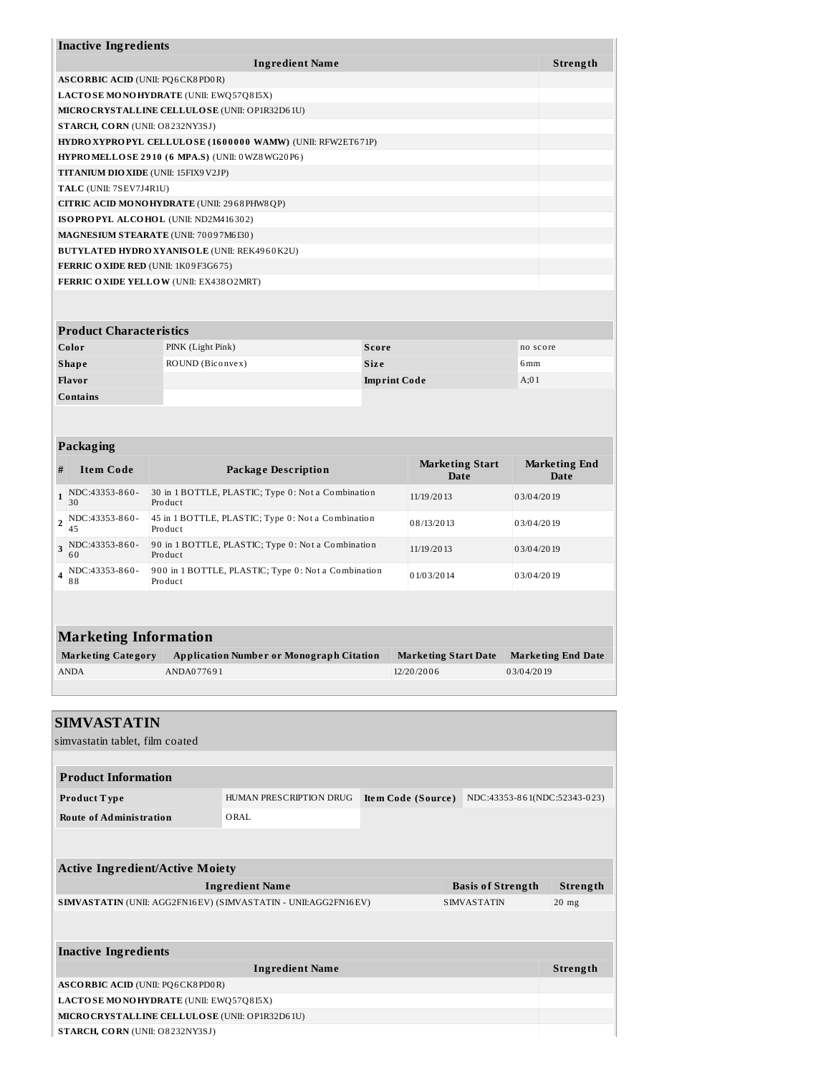| <b>Inactive Ingredients</b>                                |          |
|------------------------------------------------------------|----------|
| <b>Ingredient Name</b>                                     | Strength |
| <b>ASCORBIC ACID (UNII: PO6CK8PD0R)</b>                    |          |
| LACTO SE MONOHYDRATE (UNII: EWQ57Q815X)                    |          |
| MICRO CRYSTALLINE CELLULO SE (UNII: OP1R32D61U)            |          |
| STARCH, CORN (UNII: O8232NY3SJ)                            |          |
| HYDRO XYPROPYL CELLULOSE (1600000 WAMW) (UNII: RFW2ET671P) |          |
| <b>HYPROMELLOSE 2910 (6 MPA.S) (UNII: 0 WZ8 WG20P6)</b>    |          |
| <b>TITANIUM DIO XIDE (UNII: 15FIX9V2JP)</b>                |          |
| TALC (UNII: 7SEV7J4R1U)                                    |          |
| CITRIC ACID MONOHYDRATE (UNII: 2968PHW8QP)                 |          |
| ISOPROPYL ALCOHOL (UNII: ND2M416302)                       |          |
| MAGNESIUM STEARATE (UNII: 70097M6B0)                       |          |
| <b>BUTYLATED HYDRO XYANISOLE (UNII: REK4960K2U)</b>        |          |
| <b>FERRIC OXIDE RED (UNII: 1K09F3G675)</b>                 |          |
| FERRIC OXIDE YELLOW (UNII: EX438O2MRT)                     |          |
|                                                            |          |

| <b>Product Characteristics</b> |                   |                     |                 |  |  |
|--------------------------------|-------------------|---------------------|-----------------|--|--|
| Color                          | PINK (Light Pink) | Score               | no score        |  |  |
| <b>Shape</b>                   | ROUND (Biconvex)  | <b>Size</b>         | 6 <sub>mm</sub> |  |  |
| Flavor                         |                   | <b>Imprint Code</b> | A;01            |  |  |
| Contains                       |                   |                     |                 |  |  |

|                | Packaging                |                                                                |                                |                              |  |  |
|----------------|--------------------------|----------------------------------------------------------------|--------------------------------|------------------------------|--|--|
| #              | <b>Item Code</b>         | <b>Package Description</b>                                     | <b>Marketing Start</b><br>Date | <b>Marketing End</b><br>Date |  |  |
| $\mathbf{1}$   | NDC:43353-860-<br>30     | 30 in 1 BOTTLE, PLASTIC; Type 0: Not a Combination<br>Product  | 11/19/2013                     | 03/04/2019                   |  |  |
| $\overline{2}$ | NDC:43353-860-<br>45     | 45 in 1 BOTTLE, PLASTIC; Type 0: Not a Combination<br>Product  | 08/13/2013                     | 03/04/2019                   |  |  |
|                | $3$ NDC:43353-860-<br>60 | 90 in 1 BOTTLE, PLASTIC; Type 0: Not a Combination<br>Product  | 11/19/2013                     | 03/04/2019                   |  |  |
| $\overline{4}$ | NDC:43353-860-<br>88     | 900 in 1 BOTTLE, PLASTIC; Type 0: Not a Combination<br>Product | 01/03/2014                     | 03/04/2019                   |  |  |
|                |                          |                                                                |                                |                              |  |  |
|                |                          |                                                                |                                |                              |  |  |

| <b>Marketing Information</b> |                                                 |                      |                    |  |  |
|------------------------------|-------------------------------------------------|----------------------|--------------------|--|--|
| Marketing Category           | <b>Application Number or Monograph Citation</b> | Marketing Start Date | Marketing End Date |  |  |
| <b>ANDA</b>                  | ANDA077691                                      | 12/20/2006           | 03/04/2019         |  |  |

| <b>SIMVASTATIN</b><br>simvastatin tablet, film coated           |                         |                    |                              |          |
|-----------------------------------------------------------------|-------------------------|--------------------|------------------------------|----------|
|                                                                 |                         |                    |                              |          |
| <b>Product Information</b>                                      |                         |                    |                              |          |
| Product Type                                                    | HUMAN PRESCRIPTION DRUG | Item Code (Source) | NDC:43353-861(NDC:52343-023) |          |
| <b>Route of Administration</b>                                  | ORAL.                   |                    |                              |          |
|                                                                 |                         |                    |                              |          |
|                                                                 |                         |                    |                              |          |
| <b>Active Ingredient/Active Moiety</b>                          |                         |                    |                              |          |
|                                                                 | <b>Ingredient Name</b>  |                    | <b>Basis of Strength</b>     | Strength |
| SIMVASTATIN (UNII: AGG2FN16EV) (SIMVASTATIN - UNII: AGG2FN16EV) |                         |                    | <b>SIMVASTATIN</b>           | $20$ mg  |
|                                                                 |                         |                    |                              |          |
|                                                                 |                         |                    |                              |          |
| <b>Inactive Ingredients</b>                                     |                         |                    |                              |          |
|                                                                 | <b>Ingredient Name</b>  |                    |                              | Strength |
| <b>ASCORBIC ACID (UNII: PQ6CK8PD0R)</b>                         |                         |                    |                              |          |
| LACTOSE MONOHYDRATE (UNII: EWQ57Q815X)                          |                         |                    |                              |          |
| MICRO CRYSTALLINE CELLULOSE (UNII: OP1R32D61U)                  |                         |                    |                              |          |
| STARCH, CORN (UNII: O8232NY3SJ)                                 |                         |                    |                              |          |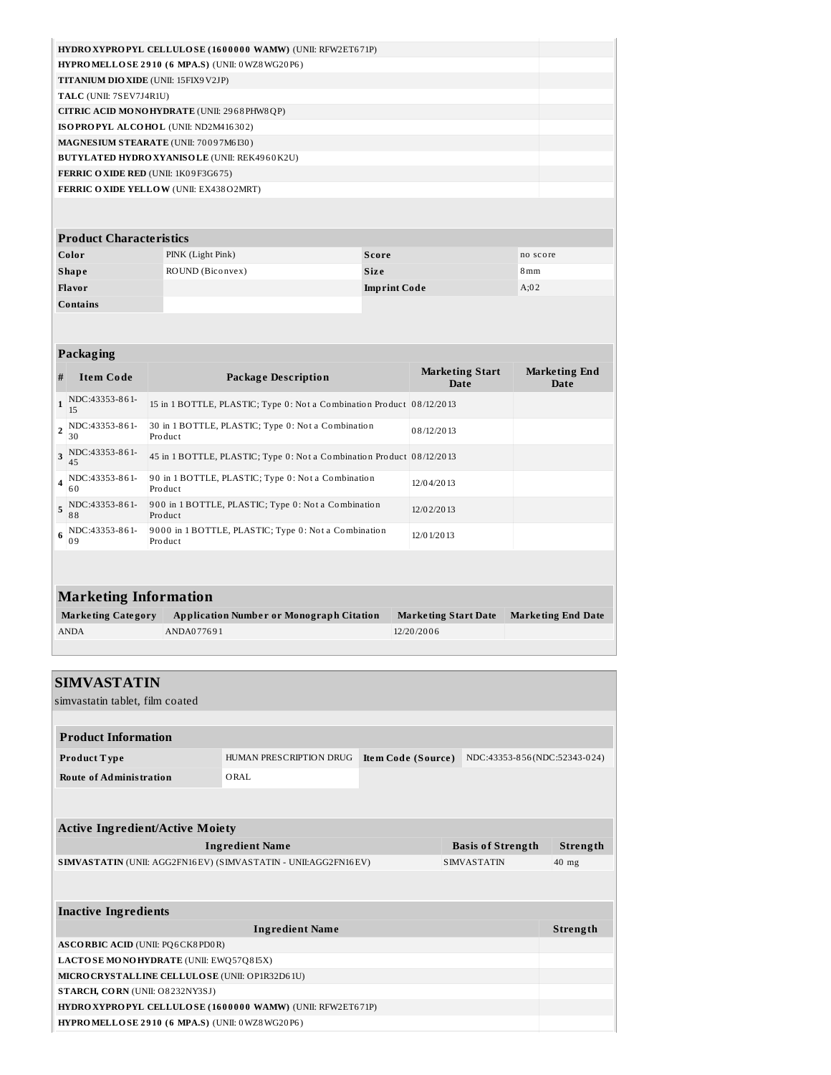| HYDRO XYPROPYL CELLULOSE (1600000 WAMW) (UNII: RFW2ET671P) |  |
|------------------------------------------------------------|--|
| $HYPROMELLOSE 2910 (6 MPA.S) (UNII: 0 WZ8 WG20P6)$         |  |
| <b>TITANIUM DIO XIDE</b> (UNII: 15FIX9 V2JP)               |  |
| TALC (UNII: 7SEV7J4R1U)                                    |  |
| CITRIC ACID MONOHYDRATE (UNII: 2968PHW8QP)                 |  |
| ISOPROPYL ALCOHOL (UNII: ND2M416302)                       |  |
| MAGNESIUM STEARATE (UNII: 70097M6B0)                       |  |
| <b>BUTYLATED HYDRO XYANISOLE (UNII: REK4960K2U)</b>        |  |
| <b>FERRIC OXIDE RED (UNII: 1K09F3G675)</b>                 |  |
| FERRIC OXIDE YELLOW (UNII: EX438O2MRT)                     |  |
|                                                            |  |
|                                                            |  |

| <b>Product Characteristics</b> |                   |                     |                 |  |  |
|--------------------------------|-------------------|---------------------|-----------------|--|--|
| Color                          | PINK (Light Pink) | Score               | no score        |  |  |
| <b>Shape</b>                   | ROUND (Biconvex)  | <b>Size</b>         | 8 <sub>mm</sub> |  |  |
| Flavor                         |                   | <b>Imprint Code</b> | A;02            |  |  |
| Contains                       |                   |                     |                 |  |  |

|                              | Packaging                 |                                                                       |                                |                              |  |  |
|------------------------------|---------------------------|-----------------------------------------------------------------------|--------------------------------|------------------------------|--|--|
| #                            | <b>Item Code</b>          | <b>Package Description</b>                                            | <b>Marketing Start</b><br>Date | <b>Marketing End</b><br>Date |  |  |
| $\mathbf{1}$                 | NDC:43353-861-<br>15      | 15 in 1 BOTTLE, PLASTIC; Type 0: Not a Combination Product 08/12/2013 |                                |                              |  |  |
|                              | 2 NDC:43353-861-<br>30    | 30 in 1 BOTTLE, PLASTIC; Type 0: Not a Combination<br>Product         | 08/12/2013                     |                              |  |  |
|                              | $3$ NDC:43353-861-<br>45  | 45 in 1 BOTTLE, PLASTIC; Type 0: Not a Combination Product 08/12/2013 |                                |                              |  |  |
|                              | 4 NDC: 43353-861-<br>60   | 90 in 1 BOTTLE, PLASTIC; Type 0: Not a Combination<br>Product         | 12/04/2013                     |                              |  |  |
| 5                            | NDC:43353-861-<br>88      | 900 in 1 BOTTLE, PLASTIC; Type 0: Not a Combination<br>Product        | 12/02/2013                     |                              |  |  |
| 6                            | NDC:43353-861-<br>09      | 9000 in 1 BOTTLE, PLASTIC; Type 0: Not a Combination<br>Product       | 12/0 1/20 13                   |                              |  |  |
|                              |                           |                                                                       |                                |                              |  |  |
| <b>Marketing Information</b> |                           |                                                                       |                                |                              |  |  |
|                              | <b>Marketing Category</b> | <b>Application Number or Monograph Citation</b>                       | <b>Marketing Start Date</b>    | <b>Marketing End Date</b>    |  |  |
|                              | <b>ANDA</b>               | ANDA077691                                                            | 12/20/2006                     |                              |  |  |

| <b>SIMVASTATIN</b>                                                                   |                         |                    |                              |          |
|--------------------------------------------------------------------------------------|-------------------------|--------------------|------------------------------|----------|
| simvastatin tablet, film coated                                                      |                         |                    |                              |          |
|                                                                                      |                         |                    |                              |          |
| <b>Product Information</b>                                                           |                         |                    |                              |          |
| Product Type                                                                         | HUMAN PRESCRIPTION DRUG | Item Code (Source) | NDC:43353-856(NDC:52343-024) |          |
| <b>Route of Administration</b>                                                       | ORAL                    |                    |                              |          |
|                                                                                      |                         |                    |                              |          |
|                                                                                      |                         |                    |                              |          |
| <b>Active Ingredient/Active Moiety</b>                                               |                         |                    |                              | Strength |
| <b>Ingredient Name</b><br><b>Basis of Strength</b>                                   |                         |                    |                              |          |
| SIMVASTATIN (UNII: AGG2FN16EV) (SIMVASTATIN - UNII:AGG2FN16EV)<br><b>SIMVASTATIN</b> |                         |                    | $40$ mg                      |          |
|                                                                                      |                         |                    |                              |          |
|                                                                                      |                         |                    |                              |          |
| <b>Inactive Ingredients</b>                                                          |                         |                    |                              |          |
|                                                                                      | <b>Ingredient Name</b>  |                    |                              | Strength |
| <b>ASCORBIC ACID (UNII: PQ6CK8PD0R)</b>                                              |                         |                    |                              |          |
| LACTO SE MONOHYDRATE (UNII: EWQ57Q8I5X)                                              |                         |                    |                              |          |
| MICRO CRYSTALLINE CELLULOSE (UNII: OP1R32D61U)                                       |                         |                    |                              |          |
| STARCH, CORN (UNII: O8232NY3SJ)                                                      |                         |                    |                              |          |
| HYDRO XYPROPYL CELLULOSE (1600000 WAMW) (UNII: RFW2ET671P)                           |                         |                    |                              |          |
| <b>HYPROMELLOSE 2910 (6 MPA.S) (UNII: 0 WZ8 WG20P6)</b>                              |                         |                    |                              |          |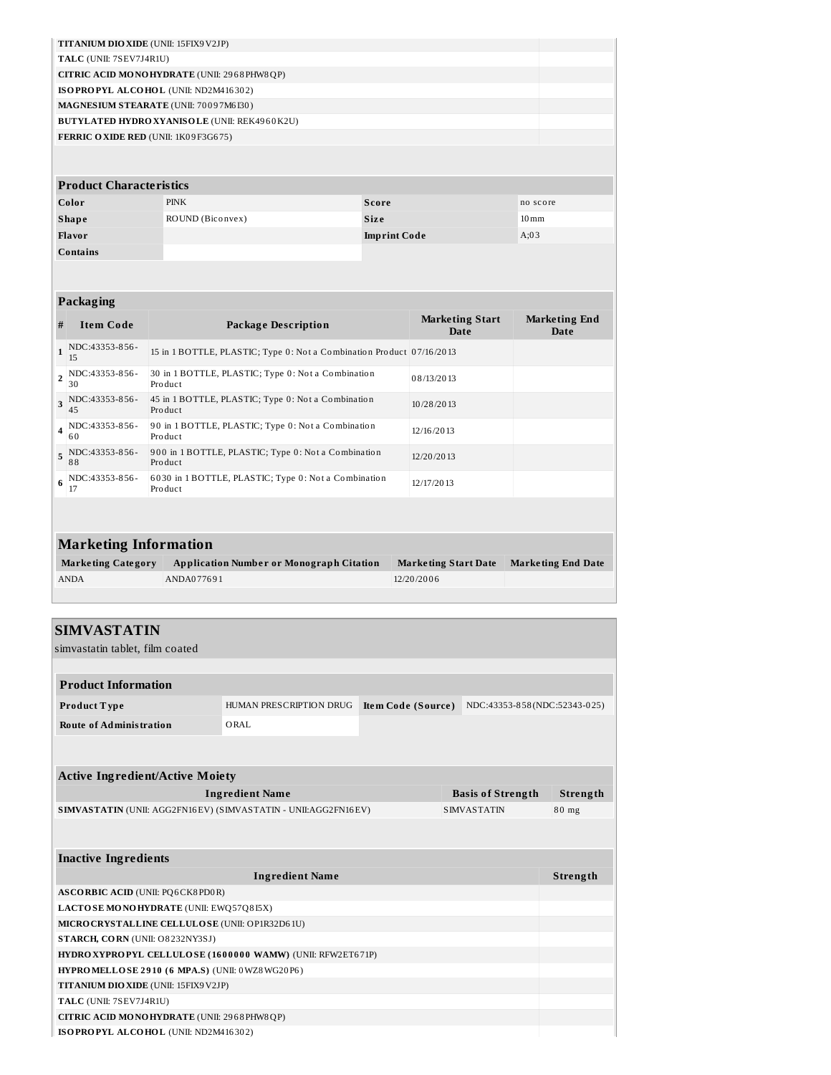| <b>TITANIUM DIO XIDE</b> (UNII: 15FIX9 V2JP)        |  |
|-----------------------------------------------------|--|
| TALC (UNII: 7SEV7J4R1U)                             |  |
| <b>CITRIC ACID MONOHYDRATE (UNII: 2968 PHW8 QP)</b> |  |
| ISOPROPYL ALCOHOL (UNII: ND2M416302)                |  |
| <b>MAGNESIUM STEARATE (UNII: 70097M6I30)</b>        |  |
| <b>BUTYLATED HYDRO XYANISOLE (UNII: REK4960K2U)</b> |  |
| <b>FERRIC OXIDE RED (UNII: 1K09F3G675)</b>          |  |
|                                                     |  |

| <b>Product Characteristics</b> |                  |                     |                    |  |  |
|--------------------------------|------------------|---------------------|--------------------|--|--|
| Color                          | <b>PINK</b>      | <b>Score</b>        | no score           |  |  |
| <b>Shape</b>                   | ROUND (Biconvex) | <b>Size</b>         | $10 \,\mathrm{mm}$ |  |  |
| <b>Flavor</b>                  |                  | <b>Imprint Code</b> | A:03               |  |  |
| <b>Contains</b>                |                  |                     |                    |  |  |

|              | Packaging                |                                                                       |                                |                              |  |  |
|--------------|--------------------------|-----------------------------------------------------------------------|--------------------------------|------------------------------|--|--|
| #            | <b>Item Code</b>         | <b>Package Description</b>                                            | <b>Marketing Start</b><br>Date | <b>Marketing End</b><br>Date |  |  |
| $\mathbf{1}$ | NDC:43353-856-<br>15     | 15 in 1 BOTTLE, PLASTIC; Type 0: Not a Combination Product 07/16/2013 |                                |                              |  |  |
|              | 2 NDC:43353-856-<br>30   | 30 in 1 BOTTLE, PLASTIC; Type 0: Not a Combination<br>Product         | 08/13/2013                     |                              |  |  |
|              | 3 NDC:43353-856-<br>45   | 45 in 1 BOTTLE, PLASTIC; Type 0: Not a Combination<br>Product         | 10/28/2013                     |                              |  |  |
|              | $4$ NDC:43353-856-<br>60 | 90 in 1 BOTTLE, PLASTIC; Type 0: Not a Combination<br>Product         | 12/16/2013                     |                              |  |  |
|              | 5 NDC:43353-856-<br>88   | 900 in 1 BOTTLE, PLASTIC; Type 0: Not a Combination<br>Product        | 12/20/2013                     |                              |  |  |
|              | $6$ NDC:43353-856-<br>17 | 6030 in 1 BOTTLE, PLASTIC; Type 0: Not a Combination<br>Product       | 12/17/2013                     |                              |  |  |
|              |                          |                                                                       |                                |                              |  |  |

| <b>Marketing Information</b> |                                                 |                             |                           |  |
|------------------------------|-------------------------------------------------|-----------------------------|---------------------------|--|
| <b>Marketing Category</b>    | <b>Application Number or Monograph Citation</b> | <b>Marketing Start Date</b> | <b>Marketing End Date</b> |  |
| <b>ANDA</b>                  | ANDA077691                                      | 12/20/2006                  |                           |  |
|                              |                                                 |                             |                           |  |

| <b>SIMVASTATIN</b>                                                                   |                         |                                                    |  |  |  |  |  |  |  |
|--------------------------------------------------------------------------------------|-------------------------|----------------------------------------------------|--|--|--|--|--|--|--|
| simvastatin tablet, film coated                                                      |                         |                                                    |  |  |  |  |  |  |  |
|                                                                                      |                         |                                                    |  |  |  |  |  |  |  |
| <b>Product Information</b>                                                           |                         |                                                    |  |  |  |  |  |  |  |
| Product Type                                                                         | HUMAN PRESCRIPTION DRUG | Item Code (Source)<br>NDC:43353-858(NDC:52343-025) |  |  |  |  |  |  |  |
| <b>Route of Administration</b>                                                       | ORAL                    |                                                    |  |  |  |  |  |  |  |
|                                                                                      |                         |                                                    |  |  |  |  |  |  |  |
|                                                                                      |                         |                                                    |  |  |  |  |  |  |  |
| <b>Active Ingredient/Active Moiety</b>                                               |                         |                                                    |  |  |  |  |  |  |  |
| <b>Ingredient Name</b><br><b>Basis of Strength</b>                                   |                         |                                                    |  |  |  |  |  |  |  |
| SIMVASTATIN (UNII: AGG2FN16EV) (SIMVASTATIN - UNII:AGG2FN16EV)<br><b>SIMVASTATIN</b> |                         |                                                    |  |  |  |  |  |  |  |
|                                                                                      |                         |                                                    |  |  |  |  |  |  |  |
|                                                                                      |                         |                                                    |  |  |  |  |  |  |  |
| <b>Inactive Ingredients</b>                                                          |                         |                                                    |  |  |  |  |  |  |  |
| <b>Ingredient Name</b>                                                               |                         |                                                    |  |  |  |  |  |  |  |
| <b>ASCORBIC ACID (UNII: PQ6CK8PD0R)</b>                                              |                         |                                                    |  |  |  |  |  |  |  |
| LACTOSE MONOHYDRATE (UNII: EWQ57Q8I5X)                                               |                         |                                                    |  |  |  |  |  |  |  |
| MICRO CRYSTALLINE CELLULOSE (UNII: OP1R32D61U)                                       |                         |                                                    |  |  |  |  |  |  |  |
| STARCH, CORN (UNII: O8232NY3SJ)                                                      |                         |                                                    |  |  |  |  |  |  |  |
| HYDRO XYPROPYL CELLULOSE (1600000 WAMW) (UNII: RFW2ET671P)                           |                         |                                                    |  |  |  |  |  |  |  |
| HYPRO MELLO SE 2910 (6 MPA.S) (UNII: 0WZ8WG20P6)                                     |                         |                                                    |  |  |  |  |  |  |  |
| TITANIUM DIO XIDE (UNII: 15FIX9V2JP)                                                 |                         |                                                    |  |  |  |  |  |  |  |
| TALC (UNII: 7SEV7J4R1U)                                                              |                         |                                                    |  |  |  |  |  |  |  |
| CITRIC ACID MONOHYDRATE (UNII: 2968 PHW8 QP)                                         |                         |                                                    |  |  |  |  |  |  |  |
| ISOPROPYL ALCOHOL (UNII: ND2M416302)                                                 |                         |                                                    |  |  |  |  |  |  |  |